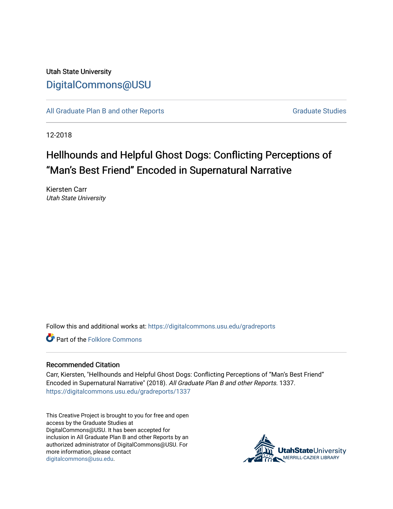Utah State University [DigitalCommons@USU](https://digitalcommons.usu.edu/)

[All Graduate Plan B and other Reports](https://digitalcommons.usu.edu/gradreports) **Graduate Studies** Graduate Studies

12-2018

# Hellhounds and Helpful Ghost Dogs: Conflicting Perceptions of "Man's Best Friend" Encoded in Supernatural Narrative

Kiersten Carr Utah State University

Follow this and additional works at: [https://digitalcommons.usu.edu/gradreports](https://digitalcommons.usu.edu/gradreports?utm_source=digitalcommons.usu.edu%2Fgradreports%2F1337&utm_medium=PDF&utm_campaign=PDFCoverPages)

**C** Part of the [Folklore Commons](http://network.bepress.com/hgg/discipline/321?utm_source=digitalcommons.usu.edu%2Fgradreports%2F1337&utm_medium=PDF&utm_campaign=PDFCoverPages)

# Recommended Citation

Carr, Kiersten, "Hellhounds and Helpful Ghost Dogs: Conflicting Perceptions of "Man's Best Friend" Encoded in Supernatural Narrative" (2018). All Graduate Plan B and other Reports. 1337. [https://digitalcommons.usu.edu/gradreports/1337](https://digitalcommons.usu.edu/gradreports/1337?utm_source=digitalcommons.usu.edu%2Fgradreports%2F1337&utm_medium=PDF&utm_campaign=PDFCoverPages) 

This Creative Project is brought to you for free and open access by the Graduate Studies at DigitalCommons@USU. It has been accepted for inclusion in All Graduate Plan B and other Reports by an authorized administrator of DigitalCommons@USU. For more information, please contact [digitalcommons@usu.edu.](mailto:digitalcommons@usu.edu)

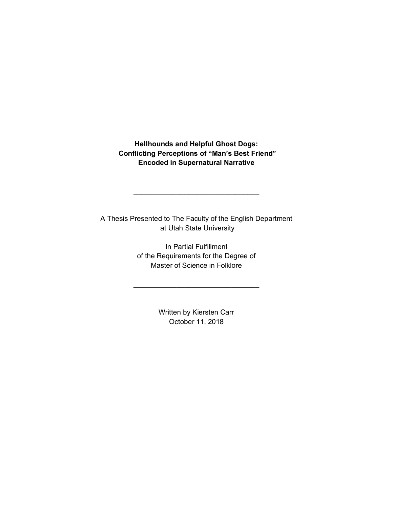**Hellhounds and Helpful Ghost Dogs: Conflicting Perceptions of "Man's Best Friend" Encoded in Supernatural Narrative**

A Thesis Presented to The Faculty of the English Department at Utah State University

> In Partial Fulfillment of the Requirements for the Degree of Master of Science in Folklore

> > Written by Kiersten Carr October 11, 2018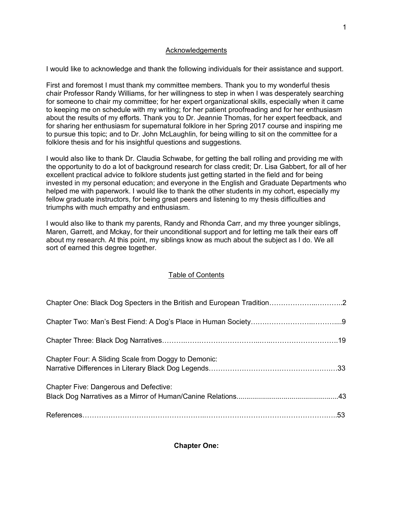# Acknowledgements

I would like to acknowledge and thank the following individuals for their assistance and support.

First and foremost I must thank my committee members. Thank you to my wonderful thesis chair Professor Randy Williams, for her willingness to step in when I was desperately searching for someone to chair my committee; for her expert organizational skills, especially when it came to keeping me on schedule with my writing; for her patient proofreading and for her enthusiasm about the results of my efforts. Thank you to Dr. Jeannie Thomas, for her expert feedback, and for sharing her enthusiasm for supernatural folklore in her Spring 2017 course and inspiring me to pursue this topic; and to Dr. John McLaughlin, for being willing to sit on the committee for a folklore thesis and for his insightful questions and suggestions.

I would also like to thank Dr. Claudia Schwabe, for getting the ball rolling and providing me with the opportunity to do a lot of background research for class credit; Dr. Lisa Gabbert, for all of her excellent practical advice to folklore students just getting started in the field and for being invested in my personal education; and everyone in the English and Graduate Departments who helped me with paperwork. I would like to thank the other students in my cohort, especially my fellow graduate instructors, for being great peers and listening to my thesis difficulties and triumphs with much empathy and enthusiasm.

I would also like to thank my parents, Randy and Rhonda Carr, and my three younger siblings, Maren, Garrett, and Mckay, for their unconditional support and for letting me talk their ears off about my research. At this point, my siblings know as much about the subject as I do. We all sort of earned this degree together.

# Table of Contents

| Chapter Four: A Sliding Scale from Doggy to Demonic: |  |
|------------------------------------------------------|--|
| <b>Chapter Five: Dangerous and Defective:</b>        |  |
|                                                      |  |

**Chapter One:**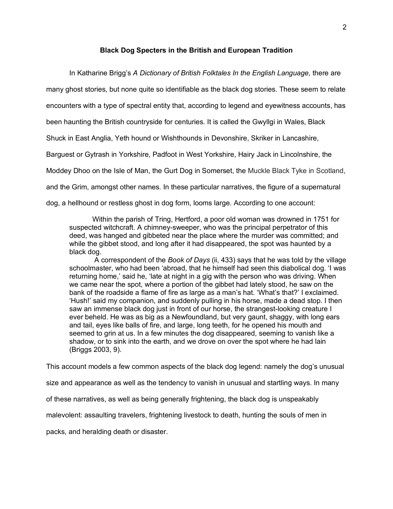### **Black Dog Specters in the British and European Tradition**

In Katharine Brigg's *A Dictionary of British Folktales In the English Language,* there are many ghost stories, but none quite so identifiable as the black dog stories. These seem to relate encounters with a type of spectral entity that, according to legend and eyewitness accounts, has been haunting the British countryside for centuries. It is called the Gwyllgi in Wales, Black Shuck in East Anglia, Yeth hound or Wishthounds in Devonshire, Skriker in Lancashire, Barguest or Gytrash in Yorkshire, Padfoot in West Yorkshire, Hairy Jack in Lincolnshire, the Moddey Dhoo on the Isle of Man, the Gurt Dog in Somerset, the Muckle Black Tyke in Scotland, and the Grim, amongst other names. In these particular narratives, the figure of a supernatural dog, a hellhound or restless ghost in dog form, looms large. According to one account:

Within the parish of Tring, Hertford, a poor old woman was drowned in 1751 for suspected witchcraft. A chimney-sweeper, who was the principal perpetrator of this deed, was hanged and gibbeted near the place where the murder was committed; and while the gibbet stood, and long after it had disappeared, the spot was haunted by a black dog.

A correspondent of the *Book of Days* (ii, 433) says that he was told by the village schoolmaster, who had been 'abroad, that he himself had seen this diabolical dog. 'I was returning home,' said he, 'late at night in a gig with the person who was driving. When we came near the spot, where a portion of the gibbet had lately stood, he saw on the bank of the roadside a flame of fire as large as a man's hat. 'What's that?' I exclaimed. 'Hush!' said my companion, and suddenly pulling in his horse, made a dead stop. I then saw an immense black dog just in front of our horse, the strangest-looking creature I ever beheld. He was as big as a Newfoundland, but very gaunt, shaggy, with long ears and tail, eyes like balls of fire, and large, long teeth, for he opened his mouth and seemed to grin at us. In a few minutes the dog disappeared, seeming to vanish like a shadow, or to sink into the earth, and we drove on over the spot where he had lain (Briggs 2003, 9).

This account models a few common aspects of the black dog legend: namely the dog's unusual

size and appearance as well as the tendency to vanish in unusual and startling ways. In many

of these narratives, as well as being generally frightening, the black dog is unspeakably

malevolent: assaulting travelers, frightening livestock to death, hunting the souls of men in

packs, and heralding death or disaster.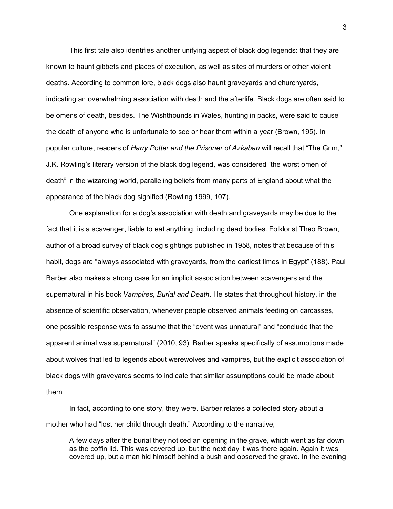This first tale also identifies another unifying aspect of black dog legends: that they are known to haunt gibbets and places of execution, as well as sites of murders or other violent deaths. According to common lore, black dogs also haunt graveyards and churchyards, indicating an overwhelming association with death and the afterlife. Black dogs are often said to be omens of death, besides. The Wishthounds in Wales, hunting in packs, were said to cause the death of anyone who is unfortunate to see or hear them within a year (Brown, 195). In popular culture, readers of *Harry Potter and the Prisoner of Azkaban* will recall that "The Grim," J.K. Rowling's literary version of the black dog legend, was considered "the worst omen of death" in the wizarding world, paralleling beliefs from many parts of England about what the appearance of the black dog signified (Rowling 1999, 107).

One explanation for a dog's association with death and graveyards may be due to the fact that it is a scavenger, liable to eat anything, including dead bodies. Folklorist Theo Brown, author of a broad survey of black dog sightings published in 1958, notes that because of this habit, dogs are "always associated with graveyards, from the earliest times in Egypt" (188). Paul Barber also makes a strong case for an implicit association between scavengers and the supernatural in his book *Vampires, Burial and Death*. He states that throughout history, in the absence of scientific observation, whenever people observed animals feeding on carcasses, one possible response was to assume that the "event was unnatural" and "conclude that the apparent animal was supernatural" (2010, 93). Barber speaks specifically of assumptions made about wolves that led to legends about werewolves and vampires, but the explicit association of black dogs with graveyards seems to indicate that similar assumptions could be made about them.

In fact, according to one story, they were. Barber relates a collected story about a mother who had "lost her child through death." According to the narrative,

A few days after the burial they noticed an opening in the grave, which went as far down as the coffin lid. This was covered up, but the next day it was there again. Again it was covered up, but a man hid himself behind a bush and observed the grave. In the evening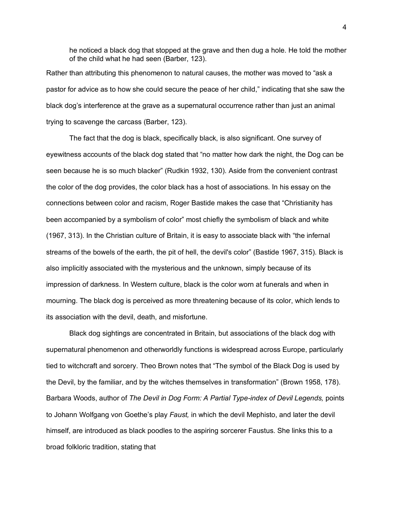he noticed a black dog that stopped at the grave and then dug a hole. He told the mother of the child what he had seen (Barber, 123).

Rather than attributing this phenomenon to natural causes, the mother was moved to "ask a pastor for advice as to how she could secure the peace of her child," indicating that she saw the black dog's interference at the grave as a supernatural occurrence rather than just an animal trying to scavenge the carcass (Barber, 123).

The fact that the dog is black, specifically black, is also significant. One survey of eyewitness accounts of the black dog stated that "no matter how dark the night, the Dog can be seen because he is so much blacker" (Rudkin 1932, 130). Aside from the convenient contrast the color of the dog provides, the color black has a host of associations. In his essay on the connections between color and racism, Roger Bastide makes the case that "Christianity has been accompanied by a symbolism of color" most chiefly the symbolism of black and white (1967, 313). In the Christian culture of Britain, it is easy to associate black with "the infernal streams of the bowels of the earth, the pit of hell, the devil's color" (Bastide 1967, 315). Black is also implicitly associated with the mysterious and the unknown, simply because of its impression of darkness. In Western culture, black is the color worn at funerals and when in mourning. The black dog is perceived as more threatening because of its color, which lends to its association with the devil, death, and misfortune.

Black dog sightings are concentrated in Britain, but associations of the black dog with supernatural phenomenon and otherworldly functions is widespread across Europe, particularly tied to witchcraft and sorcery. Theo Brown notes that "The symbol of the Black Dog is used by the Devil, by the familiar, and by the witches themselves in transformation" (Brown 1958, 178). Barbara Woods, author of *The Devil in Dog Form: A Partial Type-index of Devil Legends,* points to Johann Wolfgang von Goethe's play *Faust,* in which the devil Mephisto, and later the devil himself, are introduced as black poodles to the aspiring sorcerer Faustus. She links this to a broad folkloric tradition, stating that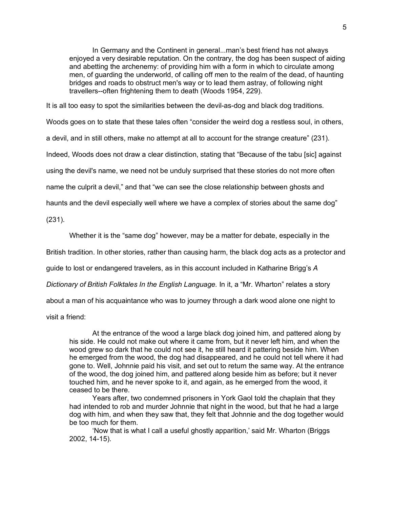In Germany and the Continent in general...man's best friend has not always enjoyed a very desirable reputation. On the contrary, the dog has been suspect of aiding and abetting the archenemy: of providing him with a form in which to circulate among men, of guarding the underworld, of calling off men to the realm of the dead, of haunting bridges and roads to obstruct men's way or to lead them astray, of following night travellers--often frightening them to death (Woods 1954, 229).

It is all too easy to spot the similarities between the devil-as-dog and black dog traditions.

Woods goes on to state that these tales often "consider the weird dog a restless soul, in others,

a devil, and in still others, make no attempt at all to account for the strange creature" (231).

Indeed, Woods does not draw a clear distinction, stating that "Because of the tabu [sic] against

using the devil's name, we need not be unduly surprised that these stories do not more often

name the culprit a devil," and that "we can see the close relationship between ghosts and

haunts and the devil especially well where we have a complex of stories about the same dog"

(231).

Whether it is the "same dog" however, may be a matter for debate, especially in the

British tradition. In other stories, rather than causing harm, the black dog acts as a protector and

guide to lost or endangered travelers, as in this account included in Katharine Brigg's *A* 

*Dictionary of British Folktales In the English Language.* In it, a "Mr. Wharton" relates a story

about a man of his acquaintance who was to journey through a dark wood alone one night to

visit a friend:

At the entrance of the wood a large black dog joined him, and pattered along by his side. He could not make out where it came from, but it never left him, and when the wood grew so dark that he could not see it, he still heard it pattering beside him. When he emerged from the wood, the dog had disappeared, and he could not tell where it had gone to. Well, Johnnie paid his visit, and set out to return the same way. At the entrance of the wood, the dog joined him, and pattered along beside him as before; but it never touched him, and he never spoke to it, and again, as he emerged from the wood, it ceased to be there.

Years after, two condemned prisoners in York Gaol told the chaplain that they had intended to rob and murder Johnnie that night in the wood, but that he had a large dog with him, and when they saw that, they felt that Johnnie and the dog together would be too much for them.

'Now that is what I call a useful ghostly apparition,' said Mr. Wharton (Briggs 2002, 14-15).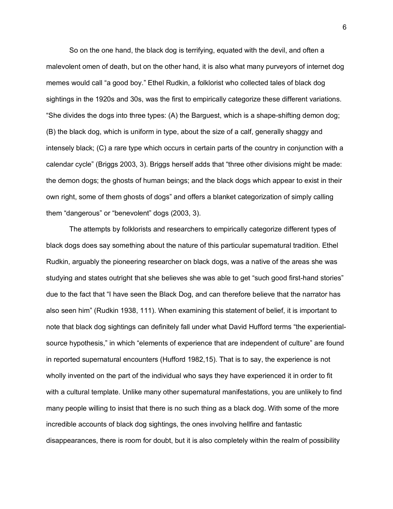So on the one hand, the black dog is terrifying, equated with the devil, and often a malevolent omen of death, but on the other hand, it is also what many purveyors of internet dog memes would call "a good boy." Ethel Rudkin, a folklorist who collected tales of black dog sightings in the 1920s and 30s, was the first to empirically categorize these different variations. "She divides the dogs into three types: (A) the Barguest, which is a shape-shifting demon dog; (B) the black dog, which is uniform in type, about the size of a calf, generally shaggy and intensely black; (C) a rare type which occurs in certain parts of the country in conjunction with a calendar cycle" (Briggs 2003, 3). Briggs herself adds that "three other divisions might be made: the demon dogs; the ghosts of human beings; and the black dogs which appear to exist in their own right, some of them ghosts of dogs" and offers a blanket categorization of simply calling them "dangerous" or "benevolent" dogs (2003, 3).

The attempts by folklorists and researchers to empirically categorize different types of black dogs does say something about the nature of this particular supernatural tradition. Ethel Rudkin, arguably the pioneering researcher on black dogs, was a native of the areas she was studying and states outright that she believes she was able to get "such good first-hand stories" due to the fact that "I have seen the Black Dog, and can therefore believe that the narrator has also seen him" (Rudkin 1938, 111). When examining this statement of belief, it is important to note that black dog sightings can definitely fall under what David Hufford terms "the experientialsource hypothesis," in which "elements of experience that are independent of culture" are found in reported supernatural encounters (Hufford 1982,15). That is to say, the experience is not wholly invented on the part of the individual who says they have experienced it in order to fit with a cultural template. Unlike many other supernatural manifestations, you are unlikely to find many people willing to insist that there is no such thing as a black dog. With some of the more incredible accounts of black dog sightings, the ones involving hellfire and fantastic disappearances, there is room for doubt, but it is also completely within the realm of possibility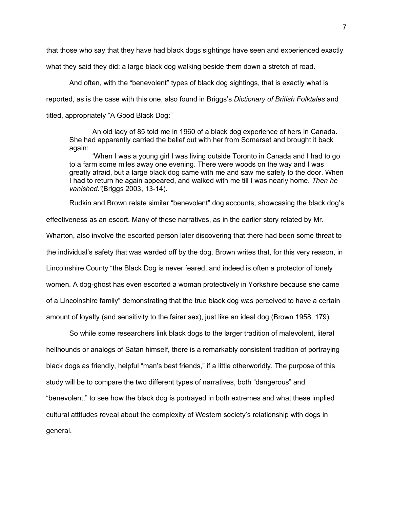that those who say that they have had black dogs sightings have seen and experienced exactly what they said they did: a large black dog walking beside them down a stretch of road.

And often, with the "benevolent" types of black dog sightings, that is exactly what is reported, as is the case with this one, also found in Briggs's *Dictionary of British Folktales* and titled, appropriately "A Good Black Dog:"

An old lady of 85 told me in 1960 of a black dog experience of hers in Canada. She had apparently carried the belief out with her from Somerset and brought it back again:

'When I was a young girl I was living outside Toronto in Canada and I had to go to a farm some miles away one evening. There were woods on the way and I was greatly afraid, but a large black dog came with me and saw me safely to the door. When I had to return he again appeared, and walked with me till I was nearly home. *Then he vanished.'*(Briggs 2003, 13-14).

Rudkin and Brown relate similar "benevolent" dog accounts, showcasing the black dog's effectiveness as an escort. Many of these narratives, as in the earlier story related by Mr. Wharton, also involve the escorted person later discovering that there had been some threat to the individual's safety that was warded off by the dog. Brown writes that, for this very reason, in Lincolnshire County "the Black Dog is never feared, and indeed is often a protector of lonely women. A dog-ghost has even escorted a woman protectively in Yorkshire because she came of a Lincolnshire family" demonstrating that the true black dog was perceived to have a certain amount of loyalty (and sensitivity to the fairer sex), just like an ideal dog (Brown 1958, 179).

So while some researchers link black dogs to the larger tradition of malevolent, literal hellhounds or analogs of Satan himself, there is a remarkably consistent tradition of portraying black dogs as friendly, helpful "man's best friends," if a little otherworldly. The purpose of this study will be to compare the two different types of narratives, both "dangerous" and "benevolent," to see how the black dog is portrayed in both extremes and what these implied cultural attitudes reveal about the complexity of Western society's relationship with dogs in general.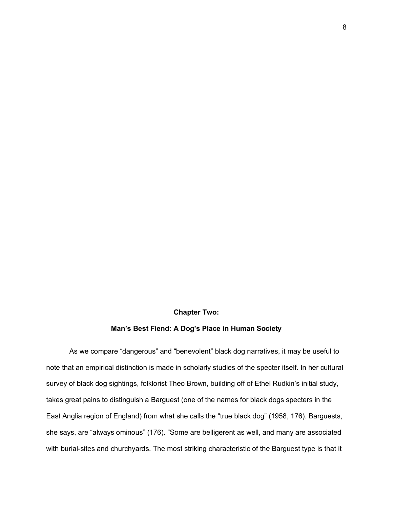### **Chapter Two:**

### **Man's Best Fiend: A Dog's Place in Human Society**

As we compare "dangerous" and "benevolent" black dog narratives, it may be useful to note that an empirical distinction is made in scholarly studies of the specter itself. In her cultural survey of black dog sightings, folklorist Theo Brown, building off of Ethel Rudkin's initial study, takes great pains to distinguish a Barguest (one of the names for black dogs specters in the East Anglia region of England) from what she calls the "true black dog" (1958, 176). Barguests, she says, are "always ominous" (176). "Some are belligerent as well, and many are associated with burial-sites and churchyards. The most striking characteristic of the Barguest type is that it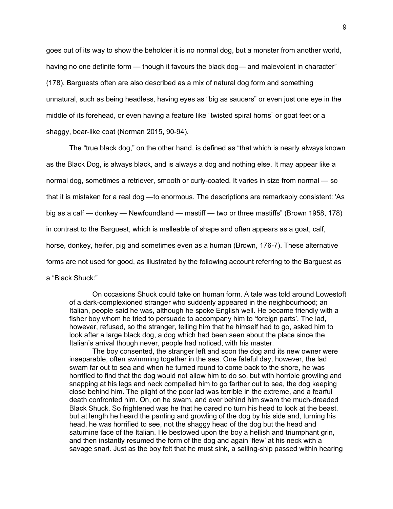goes out of its way to show the beholder it is no normal dog, but a monster from another world, having no one definite form — though it favours the black dog— and malevolent in character" (178). Barguests often are also described as a mix of natural dog form and something unnatural, such as being headless, having eyes as "big as saucers" or even just one eye in the middle of its forehead, or even having a feature like "twisted spiral horns" or goat feet or a shaggy, bear-like coat (Norman 2015, 90-94).

The "true black dog," on the other hand, is defined as "that which is nearly always known as the Black Dog, is always black, and is always a dog and nothing else. It may appear like a normal dog, sometimes a retriever, smooth or curly-coated. It varies in size from normal — so that it is mistaken for a real dog —to enormous. The descriptions are remarkably consistent: 'As big as a calf — donkey — Newfoundland — mastiff — two or three mastiffs" (Brown 1958, 178) in contrast to the Barguest, which is malleable of shape and often appears as a goat, calf, horse, donkey, heifer, pig and sometimes even as a human (Brown, 176-7). These alternative forms are not used for good, as illustrated by the following account referring to the Barguest as a "Black Shuck:"

On occasions Shuck could take on human form. A tale was told around Lowestoft of a dark-complexioned stranger who suddenly appeared in the neighbourhood; an Italian, people said he was, although he spoke English well. He became friendly with a fisher boy whom he tried to persuade to accompany him to 'foreign parts'. The lad, however, refused, so the stranger, telling him that he himself had to go, asked him to look after a large black dog, a dog which had been seen about the place since the Italian's arrival though never, people had noticed, with his master.

The boy consented, the stranger left and soon the dog and its new owner were inseparable, often swimming together in the sea. One fateful day, however, the lad swam far out to sea and when he turned round to come back to the shore, he was horrified to find that the dog would not allow him to do so, but with horrible growling and snapping at his legs and neck compelled him to go farther out to sea, the dog keeping close behind him. The plight of the poor lad was terrible in the extreme, and a fearful death confronted him. On, on he swam, and ever behind him swam the much-dreaded Black Shuck. So frightened was he that he dared no turn his head to look at the beast, but at length he heard the panting and growling of the dog by his side and, turning his head, he was horrified to see, not the shaggy head of the dog but the head and saturnine face of the Italian. He bestowed upon the boy a hellish and triumphant grin, and then instantly resumed the form of the dog and again 'flew' at his neck with a savage snarl. Just as the boy felt that he must sink, a sailing-ship passed within hearing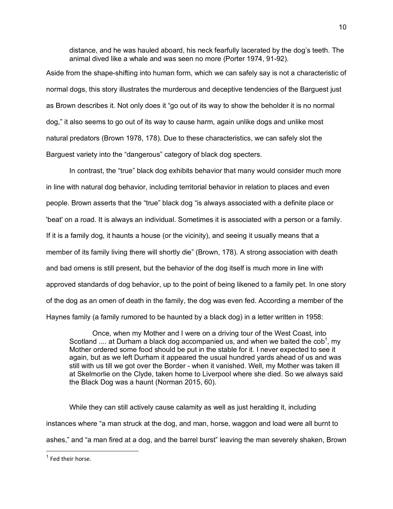distance, and he was hauled aboard, his neck fearfully lacerated by the dog's teeth. The animal dived like a whale and was seen no more (Porter 1974, 91-92).

Aside from the shape-shifting into human form, which we can safely say is not a characteristic of normal dogs, this story illustrates the murderous and deceptive tendencies of the Barguest just as Brown describes it. Not only does it "go out of its way to show the beholder it is no normal dog," it also seems to go out of its way to cause harm, again unlike dogs and unlike most natural predators (Brown 1978, 178). Due to these characteristics, we can safely slot the Barguest variety into the "dangerous" category of black dog specters.

In contrast, the "true" black dog exhibits behavior that many would consider much more in line with natural dog behavior, including territorial behavior in relation to places and even people. Brown asserts that the "true" black dog "is always associated with a definite place or 'beat' on a road. It is always an individual. Sometimes it is associated with a person or a family. If it is a family dog, it haunts a house (or the vicinity), and seeing it usually means that a member of its family living there will shortly die" (Brown, 178). A strong association with death and bad omens is still present, but the behavior of the dog itself is much more in line with approved standards of dog behavior, up to the point of being likened to a family pet. In one story of the dog as an omen of death in the family, the dog was even fed. According a member of the Haynes family (a family rumored to be haunted by a black dog) in a letter written in 1958:

Once, when my Mother and I were on a driving tour of the West Coast, into Scotland  $\ldots$  at Durham a black dog accompanied us, and when we baited the  $\cosh^1$ , my Mother ordered some food should be put in the stable for it. I never expected to see it again, but as we left Durham it appeared the usual hundred yards ahead of us and was still with us till we got over the Border - when it vanished. Well, my Mother was taken ill at Skelmorlie on the Clyde, taken home to Liverpool where she died. So we always said the Black Dog was a haunt (Norman 2015, 60).

While they can still actively cause calamity as well as just heralding it, including instances where "a man struck at the dog, and man, horse, waggon and load were all burnt to ashes," and "a man fired at a dog, and the barrel burst" leaving the man severely shaken, Brown

 <sup>1</sup> Fed their horse.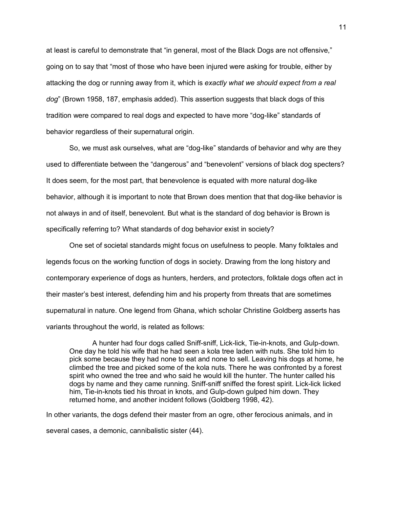at least is careful to demonstrate that "in general, most of the Black Dogs are not offensive," going on to say that "most of those who have been injured were asking for trouble, either by attacking the dog or running away from it, which is *exactly what we should expect from a real dog*" (Brown 1958, 187, emphasis added). This assertion suggests that black dogs of this tradition were compared to real dogs and expected to have more "dog-like" standards of behavior regardless of their supernatural origin.

 So, we must ask ourselves, what are "dog-like" standards of behavior and why are they used to differentiate between the "dangerous" and "benevolent" versions of black dog specters? It does seem, for the most part, that benevolence is equated with more natural dog-like behavior, although it is important to note that Brown does mention that that dog-like behavior is not always in and of itself, benevolent. But what is the standard of dog behavior is Brown is specifically referring to? What standards of dog behavior exist in society?

 One set of societal standards might focus on usefulness to people. Many folktales and legends focus on the working function of dogs in society. Drawing from the long history and contemporary experience of dogs as hunters, herders, and protectors, folktale dogs often act in their master's best interest, defending him and his property from threats that are sometimes supernatural in nature. One legend from Ghana, which scholar Christine Goldberg asserts has variants throughout the world, is related as follows:

A hunter had four dogs called Sniff-sniff, Lick-lick, Tie-in-knots, and Gulp-down. One day he told his wife that he had seen a kola tree laden with nuts. She told him to pick some because they had none to eat and none to sell. Leaving his dogs at home, he climbed the tree and picked some of the kola nuts. There he was confronted by a forest spirit who owned the tree and who said he would kill the hunter. The hunter called his dogs by name and they came running. Sniff-sniff sniffed the forest spirit. Lick-lick licked him, Tie-in-knots tied his throat in knots, and Gulp-down gulped him down. They returned home, and another incident follows (Goldberg 1998, 42).

In other variants, the dogs defend their master from an ogre, other ferocious animals, and in several cases, a demonic, cannibalistic sister (44).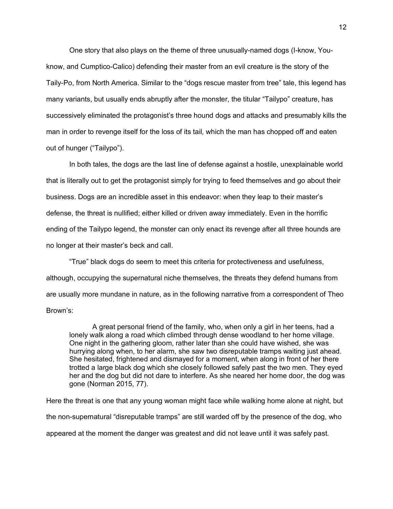One story that also plays on the theme of three unusually-named dogs (I-know, Youknow, and Cumptico-Calico) defending their master from an evil creature is the story of the Taily-Po, from North America. Similar to the "dogs rescue master from tree" tale, this legend has many variants, but usually ends abruptly after the monster, the titular "Tailypo" creature, has successively eliminated the protagonist's three hound dogs and attacks and presumably kills the man in order to revenge itself for the loss of its tail, which the man has chopped off and eaten out of hunger ("Tailypo").

In both tales, the dogs are the last line of defense against a hostile, unexplainable world that is literally out to get the protagonist simply for trying to feed themselves and go about their business. Dogs are an incredible asset in this endeavor: when they leap to their master's defense, the threat is nullified; either killed or driven away immediately. Even in the horrific ending of the Tailypo legend, the monster can only enact its revenge after all three hounds are no longer at their master's beck and call.

"True" black dogs do seem to meet this criteria for protectiveness and usefulness, although, occupying the supernatural niche themselves, the threats they defend humans from are usually more mundane in nature, as in the following narrative from a correspondent of Theo Brown's:

A great personal friend of the family, who, when only a girl in her teens, had a lonely walk along a road which climbed through dense woodland to her home village. One night in the gathering gloom, rather later than she could have wished, she was hurrying along when, to her alarm, she saw two disreputable tramps waiting just ahead. She hesitated, frightened and dismayed for a moment, when along in front of her there trotted a large black dog which she closely followed safely past the two men. They eyed her and the dog but did not dare to interfere. As she neared her home door, the dog was gone (Norman 2015, 77).

Here the threat is one that any young woman might face while walking home alone at night, but the non-supernatural "disreputable tramps" are still warded off by the presence of the dog, who appeared at the moment the danger was greatest and did not leave until it was safely past.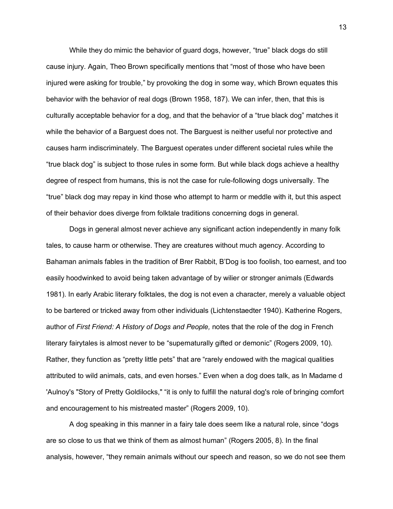While they do mimic the behavior of guard dogs, however, "true" black dogs do still cause injury. Again, Theo Brown specifically mentions that "most of those who have been injured were asking for trouble," by provoking the dog in some way, which Brown equates this behavior with the behavior of real dogs (Brown 1958, 187). We can infer, then, that this is culturally acceptable behavior for a dog, and that the behavior of a "true black dog" matches it while the behavior of a Barguest does not. The Barguest is neither useful nor protective and causes harm indiscriminately. The Barguest operates under different societal rules while the "true black dog" is subject to those rules in some form. But while black dogs achieve a healthy degree of respect from humans, this is not the case for rule-following dogs universally. The "true" black dog may repay in kind those who attempt to harm or meddle with it, but this aspect of their behavior does diverge from folktale traditions concerning dogs in general.

Dogs in general almost never achieve any significant action independently in many folk tales, to cause harm or otherwise. They are creatures without much agency. According to Bahaman animals fables in the tradition of Brer Rabbit, B'Dog is too foolish, too earnest, and too easily hoodwinked to avoid being taken advantage of by wilier or stronger animals (Edwards 1981). In early Arabic literary folktales, the dog is not even a character, merely a valuable object to be bartered or tricked away from other individuals (Lichtenstaedter 1940). Katherine Rogers, author of *First Friend: A History of Dogs and People,* notes that the role of the dog in French literary fairytales is almost never to be "supernaturally gifted or demonic" (Rogers 2009, 10). Rather, they function as "pretty little pets" that are "rarely endowed with the magical qualities attributed to wild animals, cats, and even horses." Even when a dog does talk, as In Madame d 'Aulnoy's "Story of Pretty Goldilocks," "it is only to fulfill the natural dog's role of bringing comfort and encouragement to his mistreated master" (Rogers 2009, 10).

A dog speaking in this manner in a fairy tale does seem like a natural role, since "dogs are so close to us that we think of them as almost human" (Rogers 2005, 8). In the final analysis, however, "they remain animals without our speech and reason, so we do not see them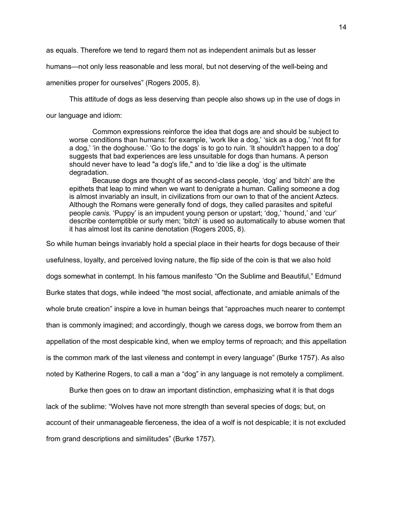as equals. Therefore we tend to regard them not as independent animals but as lesser

humans—not only less reasonable and less moral, but not deserving of the well-being and

amenities proper for ourselves" (Rogers 2005, 8).

This attitude of dogs as less deserving than people also shows up in the use of dogs in

our language and idiom:

Common expressions reinforce the idea that dogs are and should be subject to worse conditions than humans: for example, 'work like a dog,' 'sick as a dog,' 'not fit for a dog,' 'in the doghouse.' 'Go to the dogs' is to go to ruin. 'It shouldn't happen to a dog' suggests that bad experiences are less unsuitable for dogs than humans. A person should never have to lead "a dog's life," and to 'die like a dog' is the ultimate degradation.

Because dogs are thought of as second-class people, 'dog' and 'bitch' are the epithets that leap to mind when we want to denigrate a human. Calling someone a dog is almost invariably an insult, in civilizations from our own to that of the ancient Aztecs. Although the Romans were generally fond of dogs, they called parasites and spiteful people *canis.* 'Puppy' is an impudent young person or upstart; 'dog,' 'hound,' and 'cur' describe contemptible or surly men; 'bitch' is used so automatically to abuse women that it has almost lost its canine denotation (Rogers 2005, 8).

So while human beings invariably hold a special place in their hearts for dogs because of their usefulness, loyalty, and perceived loving nature, the flip side of the coin is that we also hold dogs somewhat in contempt. In his famous manifesto "On the Sublime and Beautiful," Edmund Burke states that dogs, while indeed "the most social, affectionate, and amiable animals of the whole brute creation" inspire a love in human beings that "approaches much nearer to contempt than is commonly imagined; and accordingly, though we caress dogs, we borrow from them an appellation of the most despicable kind, when we employ terms of reproach; and this appellation is the common mark of the last vileness and contempt in every language" (Burke 1757). As also noted by Katherine Rogers, to call a man a "dog" in any language is not remotely a compliment.

 Burke then goes on to draw an important distinction, emphasizing what it is that dogs lack of the sublime: "Wolves have not more strength than several species of dogs; but, on account of their unmanageable fierceness, the idea of a wolf is not despicable; it is not excluded from grand descriptions and similitudes" (Burke 1757).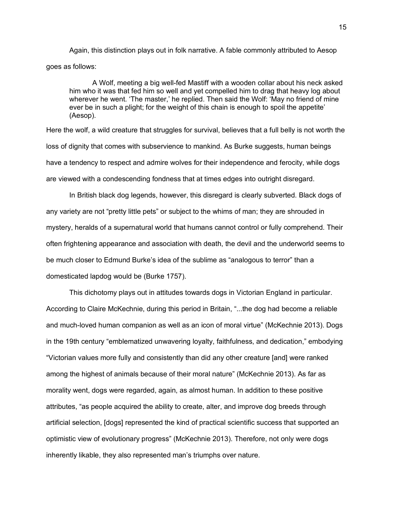Again, this distinction plays out in folk narrative. A fable commonly attributed to Aesop goes as follows:

A Wolf, meeting a big well-fed Mastiff with a wooden collar about his neck asked him who it was that fed him so well and yet compelled him to drag that heavy log about wherever he went. 'The master,' he replied. Then said the Wolf: 'May no friend of mine ever be in such a plight; for the weight of this chain is enough to spoil the appetite' (Aesop).

Here the wolf, a wild creature that struggles for survival, believes that a full belly is not worth the loss of dignity that comes with subservience to mankind. As Burke suggests, human beings have a tendency to respect and admire wolves for their independence and ferocity, while dogs are viewed with a condescending fondness that at times edges into outright disregard.

In British black dog legends, however, this disregard is clearly subverted. Black dogs of any variety are not "pretty little pets" or subject to the whims of man; they are shrouded in mystery, heralds of a supernatural world that humans cannot control or fully comprehend. Their often frightening appearance and association with death, the devil and the underworld seems to be much closer to Edmund Burke's idea of the sublime as "analogous to terror" than a domesticated lapdog would be (Burke 1757).

 This dichotomy plays out in attitudes towards dogs in Victorian England in particular. According to Claire McKechnie, during this period in Britain, "...the dog had become a reliable and much-loved human companion as well as an icon of moral virtue" (McKechnie 2013). Dogs in the 19th century "emblematized unwavering loyalty, faithfulness, and dedication," embodying "Victorian values more fully and consistently than did any other creature [and] were ranked among the highest of animals because of their moral nature" (McKechnie 2013). As far as morality went, dogs were regarded, again, as almost human. In addition to these positive attributes, "as people acquired the ability to create, alter, and improve dog breeds through artificial selection, [dogs] represented the kind of practical scientific success that supported an optimistic view of evolutionary progress" (McKechnie 2013). Therefore, not only were dogs inherently likable, they also represented man's triumphs over nature.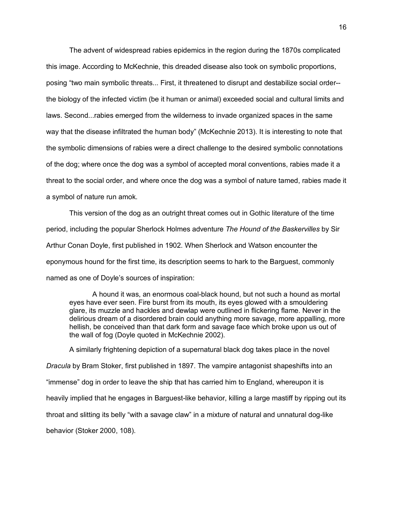The advent of widespread rabies epidemics in the region during the 1870s complicated this image. According to McKechnie, this dreaded disease also took on symbolic proportions, posing "two main symbolic threats... First, it threatened to disrupt and destabilize social order- the biology of the infected victim (be it human or animal) exceeded social and cultural limits and laws. Second...rabies emerged from the wilderness to invade organized spaces in the same way that the disease infiltrated the human body" (McKechnie 2013). It is interesting to note that the symbolic dimensions of rabies were a direct challenge to the desired symbolic connotations of the dog; where once the dog was a symbol of accepted moral conventions, rabies made it a threat to the social order, and where once the dog was a symbol of nature tamed, rabies made it a symbol of nature run amok.

This version of the dog as an outright threat comes out in Gothic literature of the time period, including the popular Sherlock Holmes adventure *The Hound of the Baskervilles* by Sir Arthur Conan Doyle, first published in 1902. When Sherlock and Watson encounter the eponymous hound for the first time, its description seems to hark to the Barguest, commonly named as one of Doyle's sources of inspiration:

A hound it was, an enormous coal-black hound, but not such a hound as mortal eyes have ever seen. Fire burst from its mouth, its eyes glowed with a smouldering glare, its muzzle and hackles and dewlap were outlined in flickering flame. Never in the delirious dream of a disordered brain could anything more savage, more appalling, more hellish, be conceived than that dark form and savage face which broke upon us out of the wall of fog (Doyle quoted in McKechnie 2002).

A similarly frightening depiction of a supernatural black dog takes place in the novel *Dracula* by Bram Stoker, first published in 1897. The vampire antagonist shapeshifts into an "immense" dog in order to leave the ship that has carried him to England, whereupon it is heavily implied that he engages in Barguest-like behavior, killing a large mastiff by ripping out its throat and slitting its belly "with a savage claw" in a mixture of natural and unnatural dog-like behavior (Stoker 2000, 108).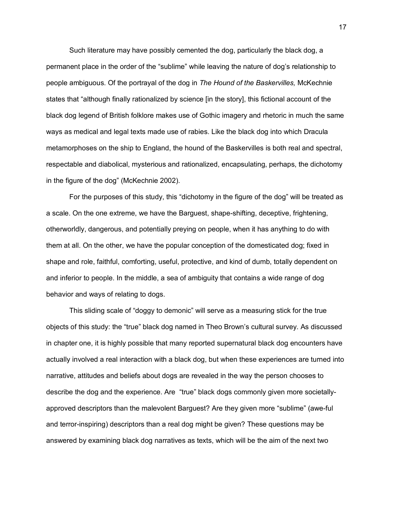Such literature may have possibly cemented the dog, particularly the black dog, a permanent place in the order of the "sublime" while leaving the nature of dog's relationship to people ambiguous. Of the portrayal of the dog in *The Hound of the Baskervilles,* McKechnie states that "although finally rationalized by science [in the story], this fictional account of the black dog legend of British folklore makes use of Gothic imagery and rhetoric in much the same ways as medical and legal texts made use of rabies. Like the black dog into which Dracula metamorphoses on the ship to England, the hound of the Baskervilles is both real and spectral, respectable and diabolical, mysterious and rationalized, encapsulating, perhaps, the dichotomy in the figure of the dog" (McKechnie 2002).

For the purposes of this study, this "dichotomy in the figure of the dog" will be treated as a scale. On the one extreme, we have the Barguest, shape-shifting, deceptive, frightening, otherworldly, dangerous, and potentially preying on people, when it has anything to do with them at all. On the other, we have the popular conception of the domesticated dog; fixed in shape and role, faithful, comforting, useful, protective, and kind of dumb, totally dependent on and inferior to people. In the middle, a sea of ambiguity that contains a wide range of dog behavior and ways of relating to dogs.

This sliding scale of "doggy to demonic" will serve as a measuring stick for the true objects of this study: the "true" black dog named in Theo Brown's cultural survey. As discussed in chapter one, it is highly possible that many reported supernatural black dog encounters have actually involved a real interaction with a black dog, but when these experiences are turned into narrative, attitudes and beliefs about dogs are revealed in the way the person chooses to describe the dog and the experience. Are "true" black dogs commonly given more societallyapproved descriptors than the malevolent Barguest? Are they given more "sublime" (awe-ful and terror-inspiring) descriptors than a real dog might be given? These questions may be answered by examining black dog narratives as texts, which will be the aim of the next two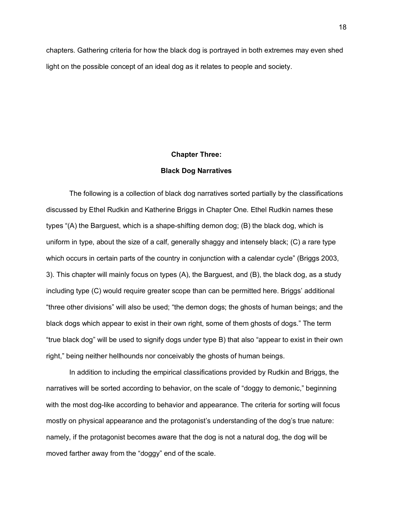chapters. Gathering criteria for how the black dog is portrayed in both extremes may even shed light on the possible concept of an ideal dog as it relates to people and society.

#### **Chapter Three:**

### **Black Dog Narratives**

The following is a collection of black dog narratives sorted partially by the classifications discussed by Ethel Rudkin and Katherine Briggs in Chapter One. Ethel Rudkin names these types "(A) the Barguest, which is a shape-shifting demon dog; (B) the black dog, which is uniform in type, about the size of a calf, generally shaggy and intensely black; (C) a rare type which occurs in certain parts of the country in conjunction with a calendar cycle" (Briggs 2003, 3). This chapter will mainly focus on types (A), the Barguest, and (B), the black dog, as a study including type (C) would require greater scope than can be permitted here. Briggs' additional "three other divisions" will also be used; "the demon dogs; the ghosts of human beings; and the black dogs which appear to exist in their own right, some of them ghosts of dogs." The term "true black dog" will be used to signify dogs under type B) that also "appear to exist in their own right," being neither hellhounds nor conceivably the ghosts of human beings.

In addition to including the empirical classifications provided by Rudkin and Briggs, the narratives will be sorted according to behavior, on the scale of "doggy to demonic," beginning with the most dog-like according to behavior and appearance. The criteria for sorting will focus mostly on physical appearance and the protagonist's understanding of the dog's true nature: namely, if the protagonist becomes aware that the dog is not a natural dog, the dog will be moved farther away from the "doggy" end of the scale.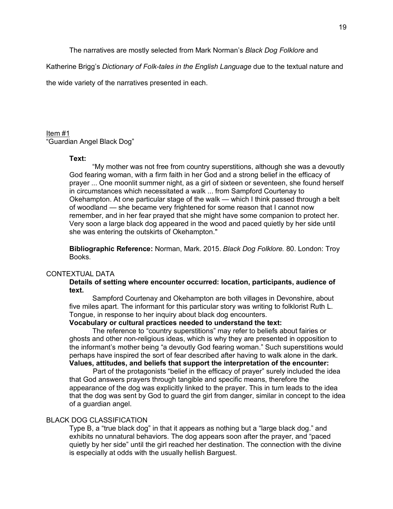The narratives are mostly selected from Mark Norman's *Black Dog Folklore* and

Katherine Brigg's *Dictionary of Folk-tales in the English Language* due to the textual nature and

the wide variety of the narratives presented in each.

# Item #1

"Guardian Angel Black Dog"

# **Text:**

"My mother was not free from country superstitions, although she was a devoutly God fearing woman, with a firm faith in her God and a strong belief in the efficacy of prayer ... One moonlit summer night, as a girl of sixteen or seventeen, she found herself in circumstances which necessitated a walk ... from Sampford Courtenay to Okehampton. At one particular stage of the walk — which I think passed through a belt of woodland — she became very frightened for some reason that I cannot now remember, and in her fear prayed that she might have some companion to protect her. Very soon a large black dog appeared in the wood and paced quietly by her side until she was entering the outskirts of Okehampton."

**Bibliographic Reference:** Norman, Mark. 2015. *Black Dog Folklore.* 80. London: Troy Books.

## CONTEXTUAL DATA

### **Details of setting where encounter occurred: location, participants, audience of text.**

 Sampford Courtenay and Okehampton are both villages in Devonshire, about five miles apart. The informant for this particular story was writing to folklorist Ruth L. Tongue, in response to her inquiry about black dog encounters.

# **Vocabulary or cultural practices needed to understand the text:**

 The reference to "country superstitions" may refer to beliefs about fairies or ghosts and other non-religious ideas, which is why they are presented in opposition to the informant's mother being "a devoutly God fearing woman." Such superstitions would perhaps have inspired the sort of fear described after having to walk alone in the dark. **Values, attitudes, and beliefs that support the interpretation of the encounter:**

Part of the protagonists "belief in the efficacy of prayer" surely included the idea that God answers prayers through tangible and specific means, therefore the appearance of the dog was explicitly linked to the prayer. This in turn leads to the idea that the dog was sent by God to guard the girl from danger, similar in concept to the idea of a guardian angel.

# BLACK DOG CLASSIFICATION

Type B, a "true black dog" in that it appears as nothing but a "large black dog." and exhibits no unnatural behaviors. The dog appears soon after the prayer, and "paced quietly by her side" until the girl reached her destination. The connection with the divine is especially at odds with the usually hellish Barguest.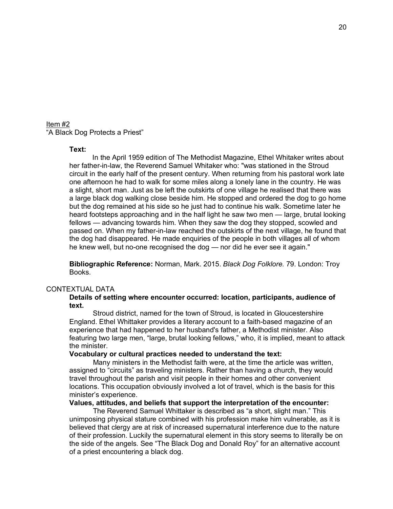Item #2 "A Black Dog Protects a Priest"

#### **Text:**

In the April 1959 edition of The Methodist Magazine, Ethel Whitaker writes about her father-in-law, the Reverend Samuel Whitaker who: "was stationed in the Stroud circuit in the early half of the present century. When returning from his pastoral work late one afternoon he had to walk for some miles along a lonely lane in the country. He was a slight, short man. Just as be left the outskirts of one village he realised that there was a large black dog walking close beside him. He stopped and ordered the dog to go home but the dog remained at his side so he just had to continue his walk. Sometime later he heard footsteps approaching and in the half light he saw two men — large, brutal looking fellows — advancing towards him. When they saw the dog they stopped, scowled and passed on. When my father-in-law reached the outskirts of the next village, he found that the dog had disappeared. He made enquiries of the people in both villages all of whom he knew well, but no-one recognised the dog — nor did he ever see it again."

**Bibliographic Reference:** Norman, Mark. 2015. *Black Dog Folklore.* 79. London: Troy Books.

# CONTEXTUAL DATA

## **Details of setting where encounter occurred: location, participants, audience of text.**

 Stroud district, named for the town of Stroud, is located in Gloucestershire England. Ethel Whittaker provides a literary account to a faith-based magazine of an experience that had happened to her husband's father, a Methodist minister. Also featuring two large men, "large, brutal looking fellows," who, it is implied, meant to attack the minister.

# **Vocabulary or cultural practices needed to understand the text:**

 Many ministers in the Methodist faith were, at the time the article was written, assigned to "circuits" as traveling ministers. Rather than having a church, they would travel throughout the parish and visit people in their homes and other convenient locations. This occupation obviously involved a lot of travel, which is the basis for this minister's experience.

# **Values, attitudes, and beliefs that support the interpretation of the encounter:**

The Reverend Samuel Whittaker is described as "a short, slight man." This unimposing physical stature combined with his profession make him vulnerable, as it is believed that clergy are at risk of increased supernatural interference due to the nature of their profession. Luckily the supernatural element in this story seems to literally be on the side of the angels. See "The Black Dog and Donald Roy" for an alternative account of a priest encountering a black dog.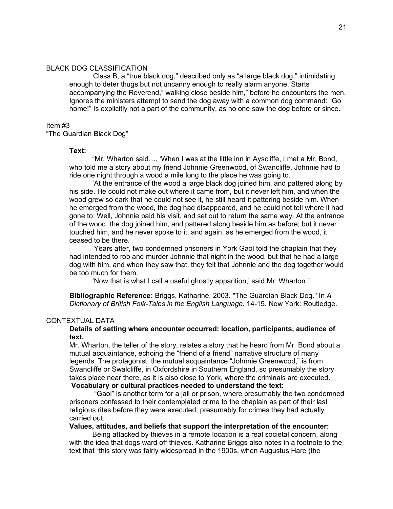# BLACK DOG CLASSIFICATION

 Class B, a "true black dog," described only as "a large black dog;" intimidating enough to deter thugs but not uncanny enough to really alarm anyone. Starts accompanying the Reverend," walking close beside him," before he encounters the men. Ignores the ministers attempt to send the dog away with a common dog command: "Go home!" Is explicitly not a part of the community, as no one saw the dog before or since.

#### Item #3

"The Guardian Black Dog"

#### **Text:**

"Mr. Wharton said…, 'When I was at the little inn in Ayscliffe, I met a Mr. Bond, who told me a story about my friend Johnnie Greenwood, of Swancliffe. Johnnie had to ride one night through a wood a mile long to the place he was going to.

'At the entrance of the wood a large black dog joined him, and pattered along by his side. He could not make out where it came from, but it never left him, and when the wood grew so dark that he could not see it, he still heard it pattering beside him. When he emerged from the wood, the dog had disappeared, and he could not tell where it had gone to. Well, Johnnie paid his visit, and set out to return the same way. At the entrance of the wood, the dog joined him, and pattered along beside him as before; but it never touched him, and he never spoke to it, and again, as he emerged from the wood, it ceased to be there.

'Years after, two condemned prisoners in York Gaol told the chaplain that they had intended to rob and murder Johnnie that night in the wood, but that he had a large dog with him, and when they saw that, they felt that Johnnie and the dog together would be too much for them.

'Now that is what I call a useful ghostly apparition,' said Mr. Wharton."

**Bibliographic Reference:** Briggs, Katharine. 2003. "The Guardian Black Dog." In *A Dictionary of British Folk-Tales in the English Language*. 14-15. New York: Routledge.

#### CONTEXTUAL DATA

# **Details of setting where encounter occurred: location, participants, audience of text.**

Mr. Wharton, the teller of the story, relates a story that he heard from Mr. Bond about a mutual acquaintance, echoing the "friend of a friend" narrative structure of many legends. The protagonist, the mutual acquaintance "Johnnie Greenwood," is from Swancliffe or Swalcliffe, in Oxfordshire in Southern England, so presumably the story takes place near there, as it is also close to York, where the criminals are executed. **Vocabulary or cultural practices needed to understand the text:** 

 "Gaol" is another term for a jail or prison, where presumably the two condemned prisoners confessed to their contemplated crime to the chaplain as part of their last religious rites before they were executed, presumably for crimes they had actually carried out.

# **Values, attitudes, and beliefs that support the interpretation of the encounter:**

Being attacked by thieves in a remote location is a real societal concern, along with the idea that dogs ward off thieves. Katharine Briggs also notes in a footnote to the text that "this story was fairly widespread in the 1900s, when Augustus Hare (the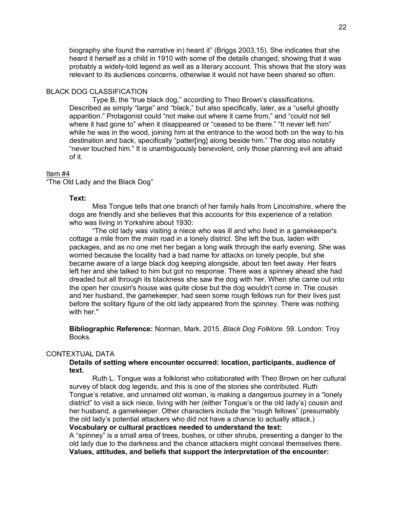biography she found the narrative in) heard it" (Briggs 2003,15). She indicates that she heard it herself as a child in 1910 with some of the details changed, showing that it was probably a widely-told legend as well as a literary account. This shows that the story was relevant to its audiences concerns, otherwise it would not have been shared so often.

# BLACK DOG CLASSIFICATION

Type B, the "true black dog," according to Theo Brown's classifications. Described as simply "large" and "black," but also specifically, later, as a "useful ghostly apparition." Protagonist could "not make out where it came from," and "could not tell where it had gone to" when it disappeared or "ceased to be there." "It never left him" while he was in the wood, joining him at the entrance to the wood both on the way to his destination and back, specifically "patter[ing] along beside him." The dog also notably "never touched him." It is unambiguously benevolent, only those planning evil are afraid of it.

### Item #4

"The Old Lady and the Black Dog"

### **Text:**

Miss Tongue tells that one branch of her family hails from Lincolnshire, where the dogs are friendly and she believes that this accounts for this experience of a relation who was living in Yorkshire about 1930:

"The old lady was visiting a niece who was ill and who lived in a gamekeeper's cottage a mile from the main road in a lonely district. She left the bus, laden with packages, and as no one met her began a long walk through the early evening. She was worried because the locality had a bad name for attacks on lonely people, but she became aware of a large black dog keeping alongside, about ten feet away. Her fears left her and she talked to him but got no response. There was a spinney ahead she had dreaded but all through its blackness she saw the dog with her. When she came out into the open her cousin's house was quite close but the dog wouldn't come in. The cousin and her husband, the gamekeeper, had seen some rough fellows run for their lives just before the solitary figure of the old lady appeared from the spinney. There was nothing with her."

**Bibliographic Reference:** Norman, Mark. 2015. *Black Dog Folklore.* 59. London: Troy Books.

# CONTEXTUAL DATA

# **Details of setting where encounter occurred: location, participants, audience of text.**

 Ruth L. Tongue was a folklorist who collaborated with Theo Brown on her cultural survey of black dog legends, and this is one of the stories she contributed. Ruth Tongue's relative, and unnamed old woman, is making a dangerous journey in a "lonely district" to visit a sick niece, living with her (either Tongue's or the old lady's) cousin and her husband, a gamekeeper. Other characters include the "rough fellows" (presumably the old lady's potential attackers who did not have a chance to actually attack.) **Vocabulary or cultural practices needed to understand the text:**

A "spinney" is a small area of trees, bushes, or other shrubs, presenting a danger to the old lady due to the darkness and the chance attackers might conceal themselves there. **Values, attitudes, and beliefs that support the interpretation of the encounter:**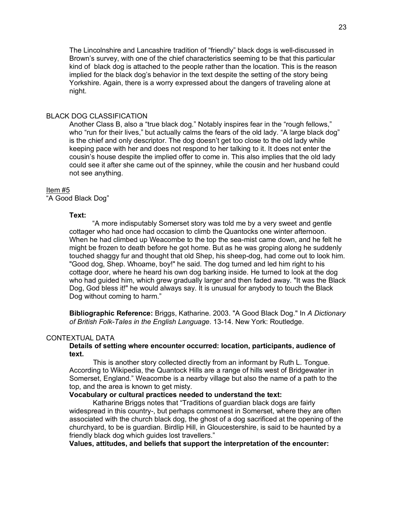The Lincolnshire and Lancashire tradition of "friendly" black dogs is well-discussed in Brown's survey, with one of the chief characteristics seeming to be that this particular kind of black dog is attached to the people rather than the location. This is the reason implied for the black dog's behavior in the text despite the setting of the story being Yorkshire. Again, there is a worry expressed about the dangers of traveling alone at night.

# BLACK DOG CLASSIFICATION

Another Class B, also a "true black dog." Notably inspires fear in the "rough fellows," who "run for their lives," but actually calms the fears of the old lady. "A large black dog" is the chief and only descriptor. The dog doesn't get too close to the old lady while keeping pace with her and does not respond to her talking to it. It does not enter the cousin's house despite the implied offer to come in. This also implies that the old lady could see it after she came out of the spinney, while the cousin and her husband could not see anything.

#### Item #5

"A Good Black Dog"

#### **Text:**

"A more indisputably Somerset story was told me by a very sweet and gentle cottager who had once had occasion to climb the Quantocks one winter afternoon. When he had climbed up Weacombe to the top the sea-mist came down, and he felt he might be frozen to death before he got home. But as he was groping along he suddenly touched shaggy fur and thought that old Shep, his sheep-dog, had come out to look him. "Good dog, Shep. Whoame, boy!" he said. The dog turned and led him right to his cottage door, where he heard his own dog barking inside. He turned to look at the dog who had guided him, which grew gradually larger and then faded away. "It was the Black Dog, God bless it!" he would always say. It is unusual for anybody to touch the Black Dog without coming to harm."

**Bibliographic Reference:** Briggs, Katharine. 2003. "A Good Black Dog." In *A Dictionary of British Folk-Tales in the English Language*. 13-14. New York: Routledge.

#### CONTEXTUAL DATA

# **Details of setting where encounter occurred: location, participants, audience of text.**

 This is another story collected directly from an informant by Ruth L. Tongue. According to Wikipedia, the Quantock Hills are a range of hills west of Bridgewater in Somerset, England." Weacombe is a nearby village but also the name of a path to the top, and the area is known to get misty.

# **Vocabulary or cultural practices needed to understand the text:**

 Katharine Briggs notes that "Traditions of guardian black dogs are fairly widespread in this country-, but perhaps commonest in Somerset, where they are often associated with the church black dog, the ghost of a dog sacrificed at the opening of the churchyard, to be is guardian. Birdlip Hill, in Gloucestershire, is said to be haunted by a friendly black dog which guides lost travellers."

**Values, attitudes, and beliefs that support the interpretation of the encounter:**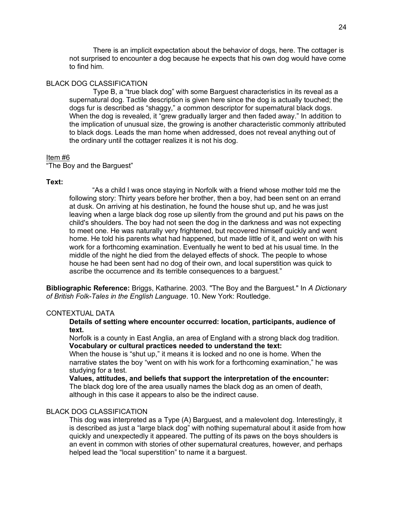There is an implicit expectation about the behavior of dogs, here. The cottager is not surprised to encounter a dog because he expects that his own dog would have come to find him.

### BLACK DOG CLASSIFICATION

 Type B, a "true black dog" with some Barguest characteristics in its reveal as a supernatural dog. Tactile description is given here since the dog is actually touched; the dogs fur is described as "shaggy," a common descriptor for supernatural black dogs. When the dog is revealed, it "grew gradually larger and then faded away." In addition to the implication of unusual size, the growing is another characteristic commonly attributed to black dogs. Leads the man home when addressed, does not reveal anything out of the ordinary until the cottager realizes it is not his dog.

### Item #6

"The Boy and the Barguest"

### **Text:**

"As a child I was once staying in Norfolk with a friend whose mother told me the following story: Thirty years before her brother, then a boy, had been sent on an errand at dusk. On arriving at his destination, he found the house shut up, and he was just leaving when a large black dog rose up silently from the ground and put his paws on the child's shoulders. The boy had not seen the dog in the darkness and was not expecting to meet one. He was naturally very frightened, but recovered himself quickly and went home. He told his parents what had happened, but made little of it, and went on with his work for a forthcoming examination. Eventually he went to bed at his usual time. In the middle of the night he died from the delayed effects of shock. The people to whose house he had been sent had no dog of their own, and local superstition was quick to ascribe the occurrence and its terrible consequences to a barguest."

**Bibliographic Reference:** Briggs, Katharine. 2003. "The Boy and the Barguest." In *A Dictionary of British Folk-Tales in the English Language*. 10. New York: Routledge.

### CONTEXTUAL DATA

**Details of setting where encounter occurred: location, participants, audience of text.** 

Norfolk is a county in East Anglia, an area of England with a strong black dog tradition. **Vocabulary or cultural practices needed to understand the text:** 

When the house is "shut up," it means it is locked and no one is home. When the narrative states the boy "went on with his work for a forthcoming examination," he was studying for a test.

**Values, attitudes, and beliefs that support the interpretation of the encounter:** The black dog lore of the area usually names the black dog as an omen of death, although in this case it appears to also be the indirect cause.

# BLACK DOG CLASSIFICATION

This dog was interpreted as a Type (A) Barguest, and a malevolent dog. Interestingly, it is described as just a "large black dog" with nothing supernatural about it aside from how quickly and unexpectedly it appeared. The putting of its paws on the boys shoulders is an event in common with stories of other supernatural creatures, however, and perhaps helped lead the "local superstition" to name it a barguest.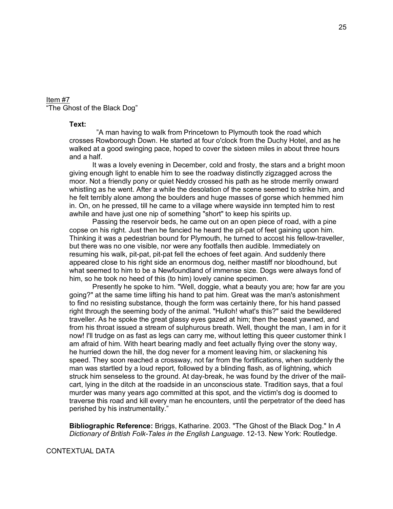# Item #7 "The Ghost of the Black Dog"

#### **Text:**

"A man having to walk from Princetown to Plymouth took the road which crosses Rowborough Down. He started at four o'clock from the Duchy Hotel, and as he walked at a good swinging pace, hoped to cover the sixteen miles in about three hours and a half.

It was a lovely evening in December, cold and frosty, the stars and a bright moon giving enough light to enable him to see the roadway distinctly zigzagged across the moor. Not a friendly pony or quiet Neddy crossed his path as he strode merrily onward whistling as he went. After a while the desolation of the scene seemed to strike him, and he felt terribly alone among the boulders and huge masses of gorse which hemmed him in. On, on he pressed, till he came to a village where wayside inn tempted him to rest awhile and have just one nip of something "short" to keep his spirits up.

Passing the reservoir beds, he came out on an open piece of road, with a pine copse on his right. Just then he fancied he heard the pit-pat of feet gaining upon him. Thinking it was a pedestrian bound for Plymouth, he turned to accost his fellow-traveller, but there was no one visible, nor were any footfalls then audible. Immediately on resuming his walk, pit-pat, pit-pat fell the echoes of feet again. And suddenly there appeared close to his right side an enormous dog, neither mastiff nor bloodhound, but what seemed to him to be a Newfoundland of immense size. Dogs were always fond of him, so he took no heed of this (to him) lovely canine specimen.

Presently he spoke to him. "Well, doggie, what a beauty you are; how far are you going?" at the same time lifting his hand to pat him. Great was the man's astonishment to find no resisting substance, though the form was certainly there, for his hand passed right through the seeming body of the animal. "Hulloh! what's this?" said the bewildered traveller. As he spoke the great glassy eyes gazed at him; then the beast yawned, and from his throat issued a stream of sulphurous breath. Well, thought the man, I am in for it now! I'll trudge on as fast as legs can carry me, without letting this queer customer think I am afraid of him. With heart bearing madly and feet actually flying over the stony way, he hurried down the hill, the dog never for a moment leaving him, or slackening his speed. They soon reached a crossway, not far from the fortifications, when suddenly the man was startled by a loud report, followed by a blinding flash, as of lightning, which struck him senseless to the ground. At day-break, he was found by the driver of the mailcart, lying in the ditch at the roadside in an unconscious state. Tradition says, that a foul murder was many years ago committed at this spot, and the victim's dog is doomed to traverse this road and kill every man he encounters, until the perpetrator of the deed has perished by his instrumentality."

**Bibliographic Reference:** Briggs, Katharine. 2003. "The Ghost of the Black Dog." In *A Dictionary of British Folk-Tales in the English Language*. 12-13. New York: Routledge.

# CONTEXTUAL DATA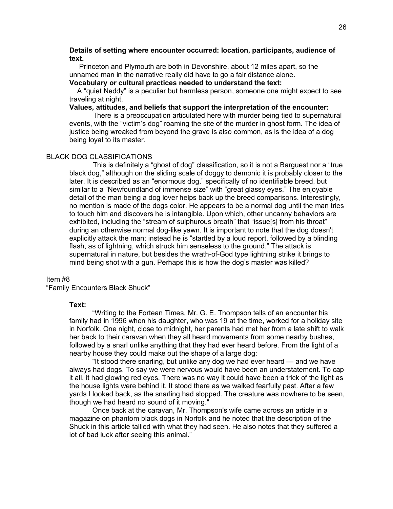**Details of setting where encounter occurred: location, participants, audience of text.** 

 Princeton and Plymouth are both in Devonshire, about 12 miles apart, so the unnamed man in the narrative really did have to go a fair distance alone.

# **Vocabulary or cultural practices needed to understand the text:**

 A "quiet Neddy" is a peculiar but harmless person, someone one might expect to see traveling at night.

# **Values, attitudes, and beliefs that support the interpretation of the encounter:**

There is a preoccupation articulated here with murder being tied to supernatural events, with the "victim's dog" roaming the site of the murder in ghost form. The idea of justice being wreaked from beyond the grave is also common, as is the idea of a dog being loyal to its master.

# BLACK DOG CLASSIFICATIONS

 This is definitely a "ghost of dog" classification, so it is not a Barguest nor a "true black dog," although on the sliding scale of doggy to demonic it is probably closer to the later. It is described as an "enormous dog," specifically of no identifiable breed, but similar to a "Newfoundland of immense size" with "great glassy eyes." The enjoyable detail of the man being a dog lover helps back up the breed comparisons. Interestingly, no mention is made of the dogs color. He appears to be a normal dog until the man tries to touch him and discovers he is intangible. Upon which, other uncanny behaviors are exhibited, including the "stream of sulphurous breath" that "issue[s] from his throat" during an otherwise normal dog-like yawn. It is important to note that the dog doesn't explicitly attack the man; instead he is "startled by a loud report, followed by a blinding flash, as of lightning, which struck him senseless to the ground." The attack is supernatural in nature, but besides the wrath-of-God type lightning strike it brings to mind being shot with a gun. Perhaps this is how the dog's master was killed?

#### Item #8

"Family Encounters Black Shuck"

### **Text:**

"Writing to the Fortean Times, Mr. G. E. Thompson tells of an encounter his family had in 1996 when his daughter, who was 19 at the time, worked for a holiday site in Norfolk. One night, close to midnight, her parents had met her from a late shift to walk her back to their caravan when they all heard movements from some nearby bushes, followed by a snarl unlike anything that they had ever heard before. From the light of a nearby house they could make out the shape of a large dog:

"It stood there snarling, but unlike any dog we had ever heard — and we have always had dogs. To say we were nervous would have been an understatement. To cap it all, it had glowing red eyes. There was no way it could have been a trick of the light as the house lights were behind it. It stood there as we walked fearfully past. After a few yards I looked back, as the snarling had slopped. The creature was nowhere to be seen, though we had heard no sound of it moving."

Once back at the caravan, Mr. Thompson's wife came across an article in a magazine on phantom black dogs in Norfolk and he noted that the description of the Shuck in this article tallied with what they had seen. He also notes that they suffered a lot of bad luck after seeing this animal."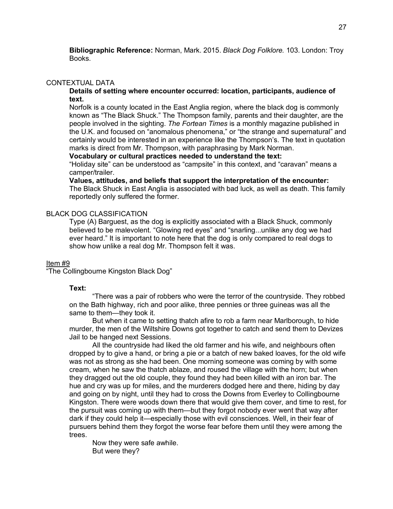**Bibliographic Reference:** Norman, Mark. 2015. *Black Dog Folklore.* 103. London: Troy Books.

## CONTEXTUAL DATA

# **Details of setting where encounter occurred: location, participants, audience of text.**

Norfolk is a county located in the East Anglia region, where the black dog is commonly known as "The Black Shuck." The Thompson family, parents and their daughter, are the people involved in the sighting. *The Fortean Times* is a monthly magazine published in the U.K. and focused on "anomalous phenomena," or "the strange and supernatural" and certainly would be interested in an experience like the Thompson's. The text in quotation marks is direct from Mr. Thompson, with paraphrasing by Mark Norman.

**Vocabulary or cultural practices needed to understand the text:** 

"Holiday site" can be understood as "campsite" in this context, and "caravan" means a camper/trailer.

**Values, attitudes, and beliefs that support the interpretation of the encounter:** The Black Shuck in East Anglia is associated with bad luck, as well as death. This family reportedly only suffered the former.

# BLACK DOG CLASSIFICATION

Type (A) Barguest, as the dog is explicitly associated with a Black Shuck, commonly believed to be malevolent. "Glowing red eyes" and "snarling...unlike any dog we had ever heard." It is important to note here that the dog is only compared to real dogs to show how unlike a real dog Mr. Thompson felt it was.

### Item #9

"The Collingbourne Kingston Black Dog"

### **Text:**

"There was a pair of robbers who were the terror of the countryside. They robbed on the Bath highway, rich and poor alike, three pennies or three guineas was all the same to them—they took it.

But when it came to setting thatch afire to rob a farm near Marlborough, to hide murder, the men of the Wiltshire Downs got together to catch and send them to Devizes Jail to be hanged next Sessions.

All the countryside had liked the old farmer and his wife, and neighbours often dropped by to give a hand, or bring a pie or a batch of new baked loaves, for the old wife was not as strong as she had been. One morning someone was coming by with some cream, when he saw the thatch ablaze, and roused the village with the horn; but when they dragged out the old couple, they found they had been killed with an iron bar. The hue and cry was up for miles, and the murderers dodged here and there, hiding by day and going on by night, until they had to cross the Downs from Everley to Collingbourne Kingston. There were woods down there that would give them cover, and time to rest, for the pursuit was coming up with them—but they forgot nobody ever went that way after dark if they could help it—especially those with evil consciences. Well, in their fear of pursuers behind them they forgot the worse fear before them until they were among the trees.

Now they were safe awhile. But were they?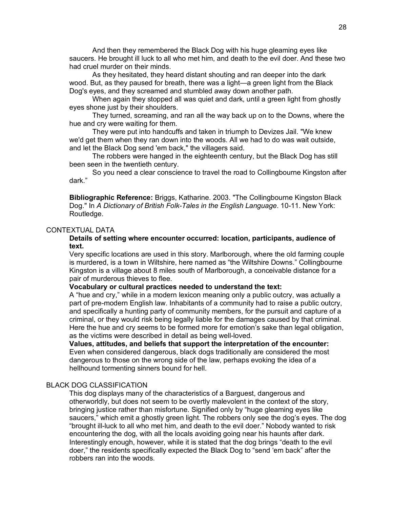And then they remembered the Black Dog with his huge gleaming eyes like saucers. He brought ill luck to all who met him, and death to the evil doer. And these two had cruel murder on their minds.

As they hesitated, they heard distant shouting and ran deeper into the dark wood. But, as they paused for breath, there was a light—a green light from the Black Dog's eyes, and they screamed and stumbled away down another path.

When again they stopped all was quiet and dark, until a green light from ghostly eyes shone just by their shoulders.

They turned, screaming, and ran all the way back up on to the Downs, where the hue and cry were waiting for them.

They were put into handcuffs and taken in triumph to Devizes Jail. "We knew we'd get them when they ran down into the woods. All we had to do was wait outside, and let the Black Dog send 'em back," the villagers said.

The robbers were hanged in the eighteenth century, but the Black Dog has still been seen in the twentieth century.

So you need a clear conscience to travel the road to Collingbourne Kingston after dark."

**Bibliographic Reference:** Briggs, Katharine. 2003. "The Collingbourne Kingston Black Dog." In *A Dictionary of British Folk-Tales in the English Language*. 10-11. New York: Routledge.

### CONTEXTUAL DATA

# **Details of setting where encounter occurred: location, participants, audience of text.**

Very specific locations are used in this story. Marlborough, where the old farming couple is murdered, is a town in Wiltshire, here named as "the Wiltshire Downs." Collingbourne Kingston is a village about 8 miles south of Marlborough, a conceivable distance for a pair of murderous thieves to flee.

# **Vocabulary or cultural practices needed to understand the text:**

A "hue and cry," while in a modern lexicon meaning only a public outcry, was actually a part of pre-modern English law. Inhabitants of a community had to raise a public outcry, and specifically a hunting party of community members, for the pursuit and capture of a criminal, or they would risk being legally liable for the damages caused by that criminal. Here the hue and cry seems to be formed more for emotion's sake than legal obligation, as the victims were described in detail as being well-loved.

**Values, attitudes, and beliefs that support the interpretation of the encounter:** Even when considered dangerous, black dogs traditionally are considered the most dangerous to those on the wrong side of the law, perhaps evoking the idea of a hellhound tormenting sinners bound for hell.

## BLACK DOG CLASSIFICATION

This dog displays many of the characteristics of a Barguest, dangerous and otherworldly, but does not seem to be overtly malevolent in the context of the story, bringing justice rather than misfortune. Signified only by "huge gleaming eyes like saucers," which emit a ghostly green light. The robbers only see the dog's eyes. The dog "brought ill-luck to all who met him, and death to the evil doer." Nobody wanted to risk encountering the dog, with all the locals avoiding going near his haunts after dark. Interestingly enough, however, while it is stated that the dog brings "death to the evil doer," the residents specifically expected the Black Dog to "send 'em back" after the robbers ran into the woods.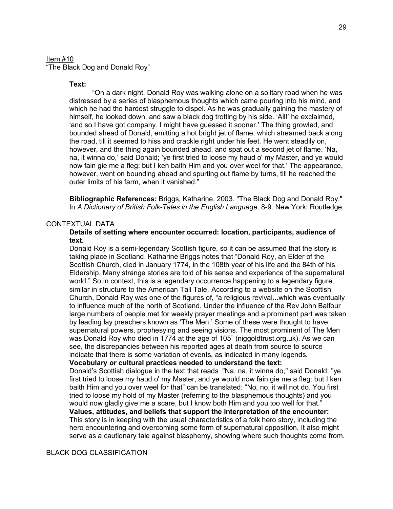# Item #10

"The Black Dog and Donald Roy"

# **Text:**

"On a dark night, Donald Roy was walking alone on a solitary road when he was distressed by a series of blasphemous thoughts which came pouring into his mind, and which he had the hardest struggle to dispel. As he was gradually gaining the mastery of himself, he looked down, and saw a black dog trotting by his side. 'All!' he exclaimed, 'and so I have got company. I might have guessed it sooner.' The thing growled, and bounded ahead of Donald, emitting a hot bright jet of flame, which streamed back along the road, till it seemed to hiss and crackle right under his feet. He went steadily on, however, and the thing again bounded ahead, and spat out a second jet of flame. 'Na, na, it winna do,' said Donald; 'ye first tried to loose my haud o' my Master, and ye would now fain gie me a fleg: but I ken baith Him and you over weel for that.' The appearance, however, went on bounding ahead and spurting out flame by turns, till he reached the outer limits of his farm, when it vanished."

**Bibliographic References:** Briggs, Katharine. 2003. "The Black Dog and Donald Roy." In *A Dictionary of British Folk-Tales in the English Language*. 8-9. New York: Routledge.

# CONTEXTUAL DATA

### **Details of setting where encounter occurred: location, participants, audience of text.**

Donald Roy is a semi-legendary Scottish figure, so it can be assumed that the story is taking place in Scotland. Katharine Briggs notes that "Donald Roy, an Elder of the Scottish Church, died in January 1774, in the 108th year of his life and the 84th of his Eldership. Many strange stories are told of his sense and experience of the supernatural world." So in context, this is a legendary occurrence happening to a legendary figure, similar in structure to the American Tall Tale. According to a website on the Scottish Church, Donald Roy was one of the figures of, "a religious revival...which was eventually to influence much of the north of Scotland. Under the influence of the Rev John Balfour large numbers of people met for weekly prayer meetings and a prominent part was taken by leading lay preachers known as 'The Men.' Some of these were thought to have supernatural powers, prophesying and seeing visions. The most prominent of The Men was Donald Roy who died in 1774 at the age of 105" (niggoldtrust.org.uk). As we can see, the discrepancies between his reported ages at death from source to source indicate that there is some variation of events, as indicated in many legends.

#### **Vocabulary or cultural practices needed to understand the text:**

Donald's Scottish dialogue in the text that reads "Na, na, it winna do," said Donald; "ye first tried to loose my haud o' my Master, and ye would now fain gie me a fleg: but I ken baith Him and you over weel for that" can be translated: "No, no, it will not do. You first tried to loose my hold of my Master (referring to the blasphemous thoughts) and you would now gladly give me a scare, but I know both Him and you too well for that."

**Values, attitudes, and beliefs that support the interpretation of the encounter:** This story is in keeping with the usual characteristics of a folk hero story, including the hero encountering and overcoming some form of supernatural opposition. It also might serve as a cautionary tale against blasphemy, showing where such thoughts come from.

# BLACK DOG CLASSIFICATION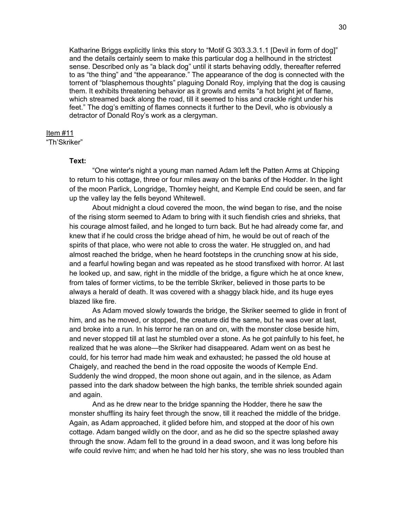Katharine Briggs explicitly links this story to "Motif G 303.3.3.1.1 [Devil in form of dog]" and the details certainly seem to make this particular dog a hellhound in the strictest sense. Described only as "a black dog" until it starts behaving oddly, thereafter referred to as "the thing" and "the appearance." The appearance of the dog is connected with the torrent of "blasphemous thoughts" plaguing Donald Roy, implying that the dog is causing them. It exhibits threatening behavior as it growls and emits "a hot bright jet of flame, which streamed back along the road, till it seemed to hiss and crackle right under his feet." The dog's emitting of flames connects it further to the Devil, who is obviously a detractor of Donald Roy's work as a clergyman.

### Item #11 "Th'Skriker"

#### **Text:**

"One winter's night a young man named Adam left the Patten Arms at Chipping to return to his cottage, three or four miles away on the banks of the Hodder. In the light of the moon Parlick, Longridge, Thornley height, and Kemple End could be seen, and far up the valley lay the fells beyond Whitewell.

About midnight a cloud covered the moon, the wind began to rise, and the noise of the rising storm seemed to Adam to bring with it such fiendish cries and shrieks, that his courage almost failed, and he longed to turn back. But he had already come far, and knew that if he could cross the bridge ahead of him, he would be out of reach of the spirits of that place, who were not able to cross the water. He struggled on, and had almost reached the bridge, when he heard footsteps in the crunching snow at his side, and a fearful howling began and was repeated as he stood transfixed with horror. At last he looked up, and saw, right in the middle of the bridge, a figure which he at once knew, from tales of former victims, to be the terrible Skriker, believed in those parts to be always a herald of death. It was covered with a shaggy black hide, and its huge eyes blazed like fire.

As Adam moved slowly towards the bridge, the Skriker seemed to glide in front of him, and as he moved, or stopped, the creature did the same, but he was over at last, and broke into a run. In his terror he ran on and on, with the monster close beside him, and never stopped till at last he stumbled over a stone. As he got painfully to his feet, he realized that he was alone—the Skriker had disappeared. Adam went on as best he could, for his terror had made him weak and exhausted; he passed the old house at Chaigely, and reached the bend in the road opposite the woods of Kemple End. Suddenly the wind dropped, the moon shone out again, and in the silence, as Adam passed into the dark shadow between the high banks, the terrible shriek sounded again and again.

And as he drew near to the bridge spanning the Hodder, there he saw the monster shuffling its hairy feet through the snow, till it reached the middle of the bridge. Again, as Adam approached, it glided before him, and stopped at the door of his own cottage. Adam banged wildly on the door, and as he did so the spectre splashed away through the snow. Adam fell to the ground in a dead swoon, and it was long before his wife could revive him; and when he had told her his story, she was no less troubled than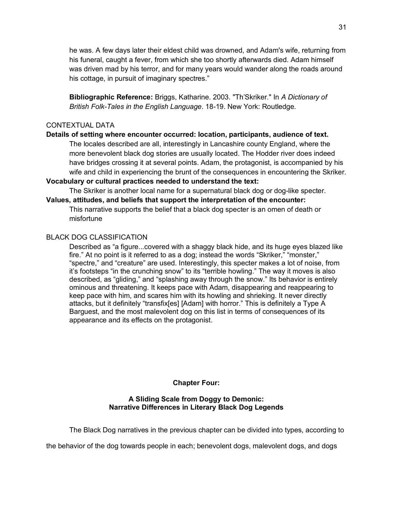he was. A few days later their eldest child was drowned, and Adam's wife, returning from his funeral, caught a fever, from which she too shortly afterwards died. Adam himself was driven mad by his terror, and for many years would wander along the roads around his cottage, in pursuit of imaginary spectres."

**Bibliographic Reference:** Briggs, Katharine. 2003. "Th'Skriker." In *A Dictionary of British Folk-Tales in the English Language*. 18-19. New York: Routledge.

# CONTEXTUAL DATA

# **Details of setting where encounter occurred: location, participants, audience of text.**

The locales described are all, interestingly in Lancashire county England, where the more benevolent black dog stories are usually located. The Hodder river does indeed have bridges crossing it at several points. Adam, the protagonist, is accompanied by his wife and child in experiencing the brunt of the consequences in encountering the Skriker.

# **Vocabulary or cultural practices needed to understand the text:**

The Skriker is another local name for a supernatural black dog or dog-like specter.

# **Values, attitudes, and beliefs that support the interpretation of the encounter:** This narrative supports the belief that a black dog specter is an omen of death or misfortune

# BLACK DOG CLASSIFICATION

Described as "a figure...covered with a shaggy black hide, and its huge eyes blazed like fire." At no point is it referred to as a dog; instead the words "Skriker," "monster," "spectre," and "creature" are used. Interestingly, this specter makes a lot of noise, from it's footsteps "in the crunching snow" to its "terrible howling." The way it moves is also described, as "gliding," and "splashing away through the snow." Its behavior is entirely ominous and threatening. It keeps pace with Adam, disappearing and reappearing to keep pace with him, and scares him with its howling and shrieking. It never directly attacks, but it definitely "transfix[es] [Adam] with horror." This is definitely a Type A Barguest, and the most malevolent dog on this list in terms of consequences of its appearance and its effects on the protagonist.

# **Chapter Four:**

# **A Sliding Scale from Doggy to Demonic: Narrative Differences in Literary Black Dog Legends**

The Black Dog narratives in the previous chapter can be divided into types, according to

the behavior of the dog towards people in each; benevolent dogs, malevolent dogs, and dogs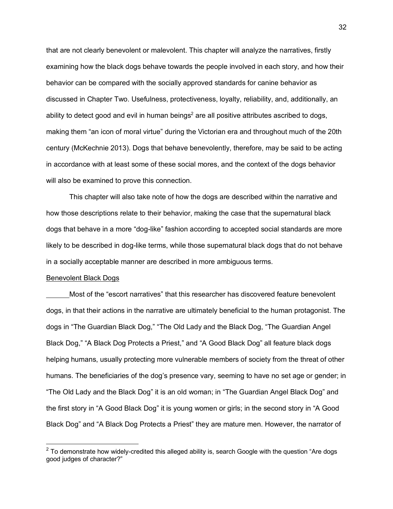that are not clearly benevolent or malevolent. This chapter will analyze the narratives, firstly examining how the black dogs behave towards the people involved in each story, and how their behavior can be compared with the socially approved standards for canine behavior as discussed in Chapter Two. Usefulness, protectiveness, loyalty, reliability, and, additionally, an ability to detect good and evil in human beings $2$  are all positive attributes ascribed to dogs, making them "an icon of moral virtue" during the Victorian era and throughout much of the 20th century (McKechnie 2013). Dogs that behave benevolently, therefore, may be said to be acting in accordance with at least some of these social mores, and the context of the dogs behavior will also be examined to prove this connection.

This chapter will also take note of how the dogs are described within the narrative and how those descriptions relate to their behavior, making the case that the supernatural black dogs that behave in a more "dog-like" fashion according to accepted social standards are more likely to be described in dog-like terms, while those supernatural black dogs that do not behave in a socially acceptable manner are described in more ambiguous terms.

#### Benevolent Black Dogs

Most of the "escort narratives" that this researcher has discovered feature benevolent dogs, in that their actions in the narrative are ultimately beneficial to the human protagonist. The dogs in "The Guardian Black Dog," "The Old Lady and the Black Dog, "The Guardian Angel Black Dog," "A Black Dog Protects a Priest," and "A Good Black Dog" all feature black dogs helping humans, usually protecting more vulnerable members of society from the threat of other humans. The beneficiaries of the dog's presence vary, seeming to have no set age or gender; in "The Old Lady and the Black Dog" it is an old woman; in "The Guardian Angel Black Dog" and the first story in "A Good Black Dog" it is young women or girls; in the second story in "A Good Black Dog" and "A Black Dog Protects a Priest" they are mature men. However, the narrator of

 $2$  To demonstrate how widely-credited this alleged ability is, search Google with the question "Are dogs good judges of character?"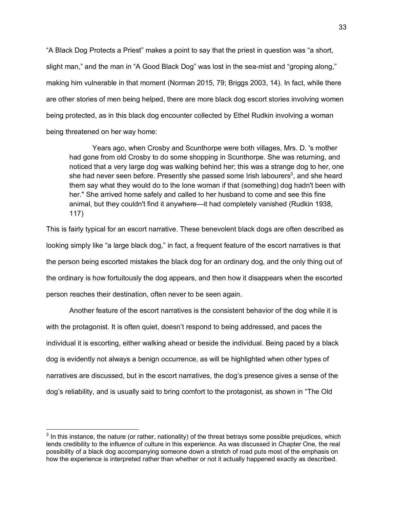"A Black Dog Protects a Priest" makes a point to say that the priest in question was "a short, slight man," and the man in "A Good Black Dog" was lost in the sea-mist and "groping along," making him vulnerable in that moment (Norman 2015, 79; Briggs 2003, 14). In fact, while there are other stories of men being helped, there are more black dog escort stories involving women being protected, as in this black dog encounter collected by Ethel Rudkin involving a woman being threatened on her way home:

Years ago, when Crosby and Scunthorpe were both villages, Mrs. D. 's mother had gone from old Crosby to do some shopping in Scunthorpe. She was returning, and noticed that a very large dog was walking behind her; this was a strange dog to her, one she had never seen before. Presently she passed some Irish labourers<sup>3</sup>, and she heard them say what they would do to the lone woman if that (something) dog hadn't been with her." She arrived home safely and called to her husband to come and see this fine animal, but they couldn't find it anywhere—it had completely vanished (Rudkin 1938, 117)

This is fairly typical for an escort narrative. These benevolent black dogs are often described as looking simply like "a large black dog," in fact, a frequent feature of the escort narratives is that the person being escorted mistakes the black dog for an ordinary dog, and the only thing out of the ordinary is how fortuitously the dog appears, and then how it disappears when the escorted person reaches their destination, often never to be seen again.

Another feature of the escort narratives is the consistent behavior of the dog while it is with the protagonist. It is often quiet, doesn't respond to being addressed, and paces the individual it is escorting, either walking ahead or beside the individual. Being paced by a black dog is evidently not always a benign occurrence, as will be highlighted when other types of narratives are discussed, but in the escort narratives, the dog's presence gives a sense of the dog's reliability, and is usually said to bring comfort to the protagonist, as shown in "The Old

 $3$  In this instance, the nature (or rather, nationality) of the threat betrays some possible prejudices, which lends credibility to the influence of culture in this experience. As was discussed in Chapter One, the real possibility of a black dog accompanying someone down a stretch of road puts most of the emphasis on how the experience is interpreted rather than whether or not it actually happened exactly as described.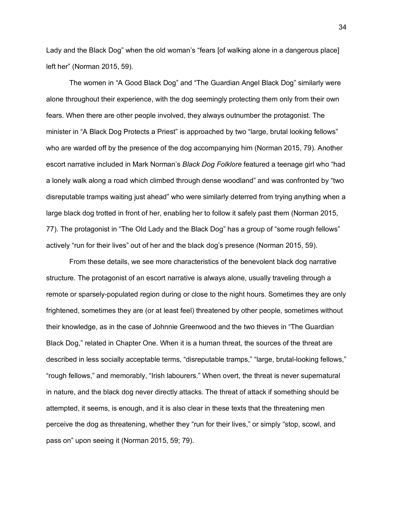Lady and the Black Dog" when the old woman's "fears [of walking alone in a dangerous place] left her" (Norman 2015, 59).

The women in "A Good Black Dog" and "The Guardian Angel Black Dog" similarly were alone throughout their experience, with the dog seemingly protecting them only from their own fears. When there are other people involved, they always outnumber the protagonist. The minister in "A Black Dog Protects a Priest" is approached by two "large, brutal looking fellows" who are warded off by the presence of the dog accompanying him (Norman 2015, 79). Another escort narrative included in Mark Norman's *Black Dog Folklore* featured a teenage girl who "had a lonely walk along a road which climbed through dense woodland" and was confronted by "two disreputable tramps waiting just ahead" who were similarly deterred from trying anything when a large black dog trotted in front of her, enabling her to follow it safely past them (Norman 2015, 77). The protagonist in "The Old Lady and the Black Dog" has a group of "some rough fellows" actively "run for their lives" out of her and the black dog's presence (Norman 2015, 59).

From these details, we see more characteristics of the benevolent black dog narrative structure. The protagonist of an escort narrative is always alone, usually traveling through a remote or sparsely-populated region during or close to the night hours. Sometimes they are only frightened, sometimes they are (or at least feel) threatened by other people, sometimes without their knowledge, as in the case of Johnnie Greenwood and the two thieves in "The Guardian Black Dog," related in Chapter One. When it is a human threat, the sources of the threat are described in less socially acceptable terms, "disreputable tramps," "large, brutal-looking fellows," "rough fellows," and memorably, "Irish labourers." When overt, the threat is never supernatural in nature, and the black dog never directly attacks. The threat of attack if something should be attempted, it seems, is enough, and it is also clear in these texts that the threatening men perceive the dog as threatening, whether they "run for their lives," or simply "stop, scowl, and pass on" upon seeing it (Norman 2015, 59; 79).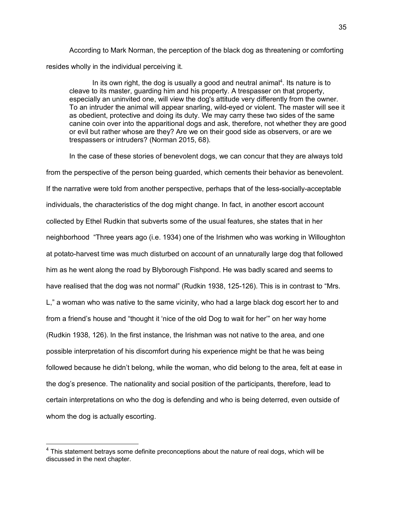According to Mark Norman, the perception of the black dog as threatening or comforting resides wholly in the individual perceiving it.

In its own right, the dog is usually a good and neutral animal<sup>4</sup>. Its nature is to cleave to its master, guarding him and his property. A trespasser on that property, especially an uninvited one, will view the dog's attitude very differently from the owner. To an intruder the animal will appear snarling, wild-eyed or violent. The master will see it as obedient, protective and doing its duty. We may carry these two sides of the same canine coin over into the apparitional dogs and ask, therefore, not whether they are good or evil but rather whose are they? Are we on their good side as observers, or are we trespassers or intruders? (Norman 2015, 68).

In the case of these stories of benevolent dogs, we can concur that they are always told from the perspective of the person being guarded, which cements their behavior as benevolent. If the narrative were told from another perspective, perhaps that of the less-socially-acceptable individuals, the characteristics of the dog might change. In fact, in another escort account collected by Ethel Rudkin that subverts some of the usual features, she states that in her neighborhood "Three years ago (i.e. 1934) one of the Irishmen who was working in Willoughton at potato-harvest time was much disturbed on account of an unnaturally large dog that followed him as he went along the road by Blyborough Fishpond. He was badly scared and seems to have realised that the dog was not normal" (Rudkin 1938, 125-126). This is in contrast to "Mrs. L," a woman who was native to the same vicinity, who had a large black dog escort her to and from a friend's house and "thought it 'nice of the old Dog to wait for her'" on her way home (Rudkin 1938, 126). In the first instance, the Irishman was not native to the area, and one possible interpretation of his discomfort during his experience might be that he was being followed because he didn't belong, while the woman, who did belong to the area, felt at ease in the dog's presence. The nationality and social position of the participants, therefore, lead to certain interpretations on who the dog is defending and who is being deterred, even outside of whom the dog is actually escorting.

 $4$  This statement betravs some definite preconceptions about the nature of real dogs, which will be discussed in the next chapter.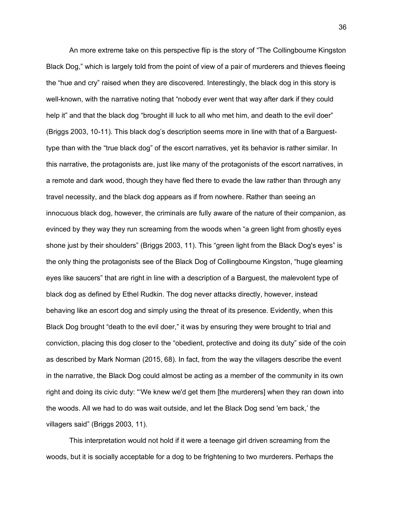An more extreme take on this perspective flip is the story of "The Collingbourne Kingston Black Dog," which is largely told from the point of view of a pair of murderers and thieves fleeing the "hue and cry" raised when they are discovered. Interestingly, the black dog in this story is well-known, with the narrative noting that "nobody ever went that way after dark if they could help it" and that the black dog "brought ill luck to all who met him, and death to the evil doer" (Briggs 2003, 10-11). This black dog's description seems more in line with that of a Barguesttype than with the "true black dog" of the escort narratives, yet its behavior is rather similar. In this narrative, the protagonists are, just like many of the protagonists of the escort narratives, in a remote and dark wood, though they have fled there to evade the law rather than through any travel necessity, and the black dog appears as if from nowhere. Rather than seeing an innocuous black dog, however, the criminals are fully aware of the nature of their companion, as evinced by they way they run screaming from the woods when "a green light from ghostly eyes shone just by their shoulders" (Briggs 2003, 11). This "green light from the Black Dog's eyes" is the only thing the protagonists see of the Black Dog of Collingbourne Kingston, "huge gleaming eyes like saucers" that are right in line with a description of a Barguest, the malevolent type of black dog as defined by Ethel Rudkin. The dog never attacks directly, however, instead behaving like an escort dog and simply using the threat of its presence. Evidently, when this Black Dog brought "death to the evil doer," it was by ensuring they were brought to trial and conviction, placing this dog closer to the "obedient, protective and doing its duty" side of the coin as described by Mark Norman (2015, 68). In fact, from the way the villagers describe the event in the narrative, the Black Dog could almost be acting as a member of the community in its own right and doing its civic duty: "'We knew we'd get them [the murderers] when they ran down into the woods. All we had to do was wait outside, and let the Black Dog send 'em back,' the villagers said" (Briggs 2003, 11).

This interpretation would not hold if it were a teenage girl driven screaming from the woods, but it is socially acceptable for a dog to be frightening to two murderers. Perhaps the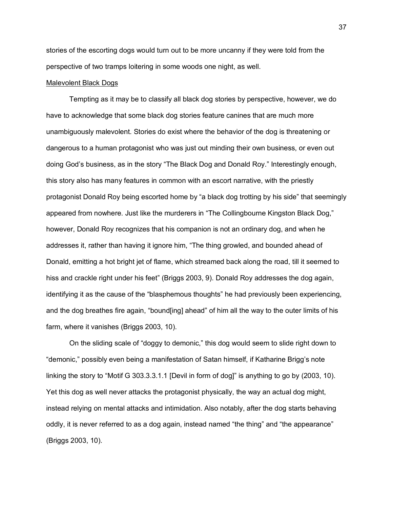stories of the escorting dogs would turn out to be more uncanny if they were told from the perspective of two tramps loitering in some woods one night, as well.

#### Malevolent Black Dogs

Tempting as it may be to classify all black dog stories by perspective, however, we do have to acknowledge that some black dog stories feature canines that are much more unambiguously malevolent. Stories do exist where the behavior of the dog is threatening or dangerous to a human protagonist who was just out minding their own business, or even out doing God's business, as in the story "The Black Dog and Donald Roy." Interestingly enough, this story also has many features in common with an escort narrative, with the priestly protagonist Donald Roy being escorted home by "a black dog trotting by his side" that seemingly appeared from nowhere. Just like the murderers in "The Collingbourne Kingston Black Dog," however, Donald Roy recognizes that his companion is not an ordinary dog, and when he addresses it, rather than having it ignore him, "The thing growled, and bounded ahead of Donald, emitting a hot bright jet of flame, which streamed back along the road, till it seemed to hiss and crackle right under his feet" (Briggs 2003, 9). Donald Roy addresses the dog again, identifying it as the cause of the "blasphemous thoughts" he had previously been experiencing, and the dog breathes fire again, "bound[ing] ahead" of him all the way to the outer limits of his farm, where it vanishes (Briggs 2003, 10).

On the sliding scale of "doggy to demonic," this dog would seem to slide right down to "demonic," possibly even being a manifestation of Satan himself, if Katharine Brigg's note linking the story to "Motif G 303.3.3.1.1 [Devil in form of dog]" is anything to go by (2003, 10). Yet this dog as well never attacks the protagonist physically, the way an actual dog might, instead relying on mental attacks and intimidation. Also notably, after the dog starts behaving oddly, it is never referred to as a dog again, instead named "the thing" and "the appearance" (Briggs 2003, 10).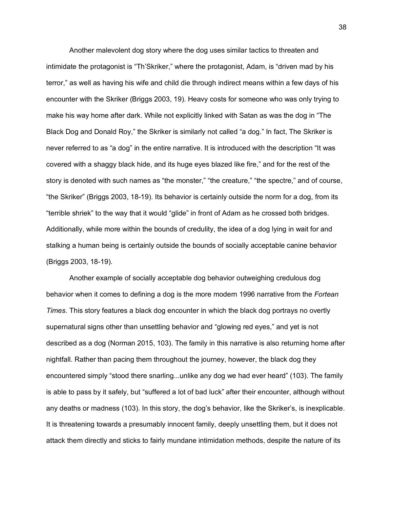Another malevolent dog story where the dog uses similar tactics to threaten and intimidate the protagonist is "Th'Skriker," where the protagonist, Adam, is "driven mad by his terror," as well as having his wife and child die through indirect means within a few days of his encounter with the Skriker (Briggs 2003, 19). Heavy costs for someone who was only trying to make his way home after dark. While not explicitly linked with Satan as was the dog in "The Black Dog and Donald Roy," the Skriker is similarly not called "a dog." In fact, The Skriker is never referred to as "a dog" in the entire narrative. It is introduced with the description "It was covered with a shaggy black hide, and its huge eyes blazed like fire," and for the rest of the story is denoted with such names as "the monster," "the creature," "the spectre," and of course, "the Skriker" (Briggs 2003, 18-19). Its behavior is certainly outside the norm for a dog, from its "terrible shriek" to the way that it would "glide" in front of Adam as he crossed both bridges. Additionally, while more within the bounds of credulity, the idea of a dog lying in wait for and stalking a human being is certainly outside the bounds of socially acceptable canine behavior (Briggs 2003, 18-19).

Another example of socially acceptable dog behavior outweighing credulous dog behavior when it comes to defining a dog is the more modern 1996 narrative from the *Fortean Times*. This story features a black dog encounter in which the black dog portrays no overtly supernatural signs other than unsettling behavior and "glowing red eyes," and yet is not described as a dog (Norman 2015, 103). The family in this narrative is also returning home after nightfall. Rather than pacing them throughout the journey, however, the black dog they encountered simply "stood there snarling...unlike any dog we had ever heard" (103). The family is able to pass by it safely, but "suffered a lot of bad luck" after their encounter, although without any deaths or madness (103). In this story, the dog's behavior, like the Skriker's, is inexplicable. It is threatening towards a presumably innocent family, deeply unsettling them, but it does not attack them directly and sticks to fairly mundane intimidation methods, despite the nature of its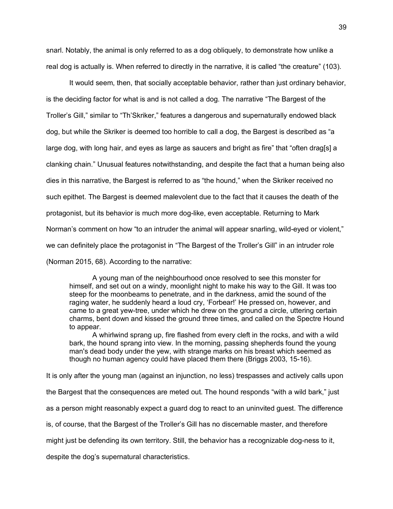snarl. Notably, the animal is only referred to as a dog obliquely, to demonstrate how unlike a real dog is actually is. When referred to directly in the narrative, it is called "the creature" (103).

It would seem, then, that socially acceptable behavior, rather than just ordinary behavior, is the deciding factor for what is and is not called a dog. The narrative "The Bargest of the Troller's Gill," similar to "Th'Skriker," features a dangerous and supernaturally endowed black dog, but while the Skriker is deemed too horrible to call a dog, the Bargest is described as "a large dog, with long hair, and eyes as large as saucers and bright as fire" that "often drag[s] a clanking chain." Unusual features notwithstanding, and despite the fact that a human being also dies in this narrative, the Bargest is referred to as "the hound," when the Skriker received no such epithet. The Bargest is deemed malevolent due to the fact that it causes the death of the protagonist, but its behavior is much more dog-like, even acceptable. Returning to Mark Norman's comment on how "to an intruder the animal will appear snarling, wild-eyed or violent," we can definitely place the protagonist in "The Bargest of the Troller's Gill" in an intruder role (Norman 2015, 68). According to the narrative:

A young man of the neighbourhood once resolved to see this monster for himself, and set out on a windy, moonlight night to make his way to the Gill. It was too steep for the moonbeams to penetrate, and in the darkness, amid the sound of the raging water, he suddenly heard a loud cry, 'Forbear!' He pressed on, however, and came to a great yew-tree, under which he drew on the ground a circle, uttering certain charms, bent down and kissed the ground three times, and called on the Spectre Hound to appear.

A whirlwind sprang up, fire flashed from every cleft in the rocks, and with a wild bark, the hound sprang into view. In the morning, passing shepherds found the young man's dead body under the yew, with strange marks on his breast which seemed as though no human agency could have placed them there (Briggs 2003, 15-16).

It is only after the young man (against an injunction, no less) trespasses and actively calls upon the Bargest that the consequences are meted out. The hound responds "with a wild bark," just as a person might reasonably expect a guard dog to react to an uninvited guest. The difference is, of course, that the Bargest of the Troller's Gill has no discernable master, and therefore might just be defending its own territory. Still, the behavior has a recognizable dog-ness to it, despite the dog's supernatural characteristics.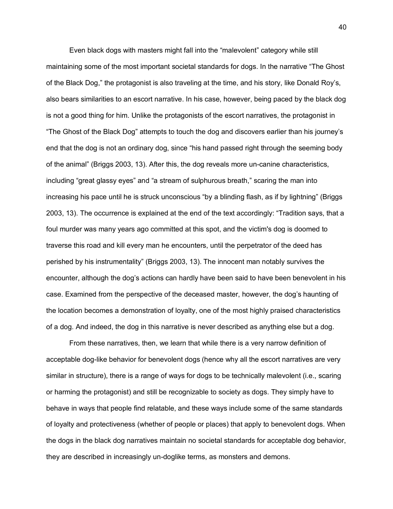Even black dogs with masters might fall into the "malevolent" category while still maintaining some of the most important societal standards for dogs. In the narrative "The Ghost of the Black Dog," the protagonist is also traveling at the time, and his story, like Donald Roy's, also bears similarities to an escort narrative. In his case, however, being paced by the black dog is not a good thing for him. Unlike the protagonists of the escort narratives, the protagonist in "The Ghost of the Black Dog" attempts to touch the dog and discovers earlier than his journey's end that the dog is not an ordinary dog, since "his hand passed right through the seeming body of the animal" (Briggs 2003, 13). After this, the dog reveals more un-canine characteristics, including "great glassy eyes" and "a stream of sulphurous breath," scaring the man into increasing his pace until he is struck unconscious "by a blinding flash, as if by lightning" (Briggs 2003, 13). The occurrence is explained at the end of the text accordingly: "Tradition says, that a foul murder was many years ago committed at this spot, and the victim's dog is doomed to traverse this road and kill every man he encounters, until the perpetrator of the deed has perished by his instrumentality" (Briggs 2003, 13). The innocent man notably survives the encounter, although the dog's actions can hardly have been said to have been benevolent in his case. Examined from the perspective of the deceased master, however, the dog's haunting of the location becomes a demonstration of loyalty, one of the most highly praised characteristics of a dog. And indeed, the dog in this narrative is never described as anything else but a dog.

From these narratives, then, we learn that while there is a very narrow definition of acceptable dog-like behavior for benevolent dogs (hence why all the escort narratives are very similar in structure), there is a range of ways for dogs to be technically malevolent (i.e., scaring or harming the protagonist) and still be recognizable to society as dogs. They simply have to behave in ways that people find relatable, and these ways include some of the same standards of loyalty and protectiveness (whether of people or places) that apply to benevolent dogs. When the dogs in the black dog narratives maintain no societal standards for acceptable dog behavior, they are described in increasingly un-doglike terms, as monsters and demons.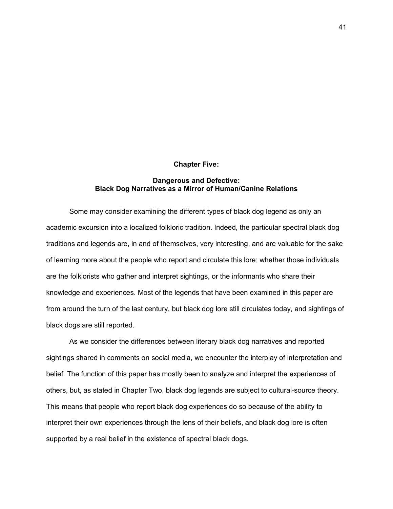**Chapter Five:**

# **Dangerous and Defective: Black Dog Narratives as a Mirror of Human/Canine Relations**

Some may consider examining the different types of black dog legend as only an academic excursion into a localized folkloric tradition. Indeed, the particular spectral black dog traditions and legends are, in and of themselves, very interesting, and are valuable for the sake of learning more about the people who report and circulate this lore; whether those individuals are the folklorists who gather and interpret sightings, or the informants who share their knowledge and experiences. Most of the legends that have been examined in this paper are from around the turn of the last century, but black dog lore still circulates today, and sightings of black dogs are still reported.

As we consider the differences between literary black dog narratives and reported sightings shared in comments on social media, we encounter the interplay of interpretation and belief. The function of this paper has mostly been to analyze and interpret the experiences of others, but, as stated in Chapter Two, black dog legends are subject to cultural-source theory. This means that people who report black dog experiences do so because of the ability to interpret their own experiences through the lens of their beliefs, and black dog lore is often supported by a real belief in the existence of spectral black dogs.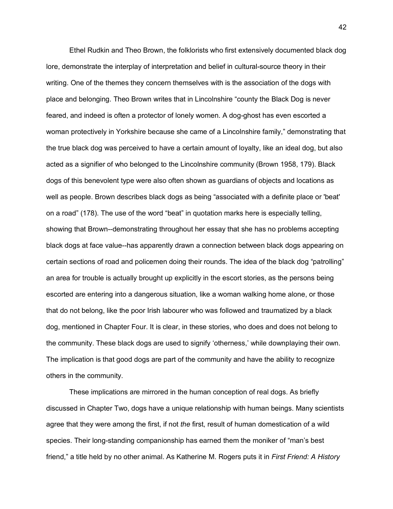Ethel Rudkin and Theo Brown, the folklorists who first extensively documented black dog lore, demonstrate the interplay of interpretation and belief in cultural-source theory in their writing. One of the themes they concern themselves with is the association of the dogs with place and belonging. Theo Brown writes that in Lincolnshire "county the Black Dog is never feared, and indeed is often a protector of lonely women. A dog-ghost has even escorted a woman protectively in Yorkshire because she came of a Lincolnshire family," demonstrating that the true black dog was perceived to have a certain amount of loyalty, like an ideal dog, but also acted as a signifier of who belonged to the Lincolnshire community (Brown 1958, 179). Black dogs of this benevolent type were also often shown as guardians of objects and locations as well as people. Brown describes black dogs as being "associated with a definite place or 'beat' on a road" (178). The use of the word "beat" in quotation marks here is especially telling, showing that Brown--demonstrating throughout her essay that she has no problems accepting black dogs at face value--has apparently drawn a connection between black dogs appearing on certain sections of road and policemen doing their rounds. The idea of the black dog "patrolling" an area for trouble is actually brought up explicitly in the escort stories, as the persons being escorted are entering into a dangerous situation, like a woman walking home alone, or those that do not belong, like the poor Irish labourer who was followed and traumatized by a black dog, mentioned in Chapter Four. It is clear, in these stories, who does and does not belong to the community. These black dogs are used to signify 'otherness,' while downplaying their own. The implication is that good dogs are part of the community and have the ability to recognize others in the community.

These implications are mirrored in the human conception of real dogs. As briefly discussed in Chapter Two, dogs have a unique relationship with human beings. Many scientists agree that they were among the first, if not *the* first, result of human domestication of a wild species. Their long-standing companionship has earned them the moniker of "man's best friend," a title held by no other animal. As Katherine M. Rogers puts it in *First Friend: A History*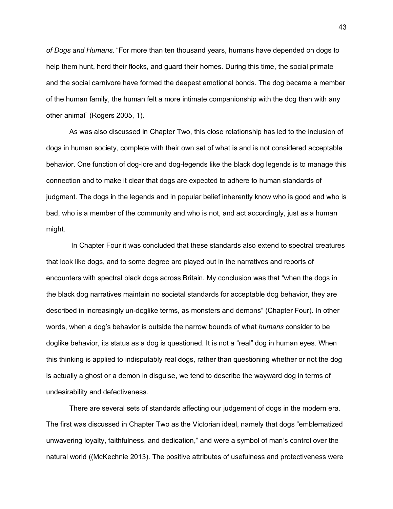*of Dogs and Humans,* "For more than ten thousand years, humans have depended on dogs to help them hunt, herd their flocks, and guard their homes. During this time, the social primate and the social carnivore have formed the deepest emotional bonds. The dog became a member of the human family, the human felt a more intimate companionship with the dog than with any other animal" (Rogers 2005, 1).

As was also discussed in Chapter Two, this close relationship has led to the inclusion of dogs in human society, complete with their own set of what is and is not considered acceptable behavior. One function of dog-lore and dog-legends like the black dog legends is to manage this connection and to make it clear that dogs are expected to adhere to human standards of judgment. The dogs in the legends and in popular belief inherently know who is good and who is bad, who is a member of the community and who is not, and act accordingly, just as a human might.

In Chapter Four it was concluded that these standards also extend to spectral creatures that look like dogs, and to some degree are played out in the narratives and reports of encounters with spectral black dogs across Britain. My conclusion was that "when the dogs in the black dog narratives maintain no societal standards for acceptable dog behavior, they are described in increasingly un-doglike terms, as monsters and demons" (Chapter Four). In other words, when a dog's behavior is outside the narrow bounds of what *humans* consider to be doglike behavior, its status as a dog is questioned. It is not a "real" dog in human eyes. When this thinking is applied to indisputably real dogs, rather than questioning whether or not the dog is actually a ghost or a demon in disguise, we tend to describe the wayward dog in terms of undesirability and defectiveness.

There are several sets of standards affecting our judgement of dogs in the modern era. The first was discussed in Chapter Two as the Victorian ideal, namely that dogs "emblematized unwavering loyalty, faithfulness, and dedication," and were a symbol of man's control over the natural world ((McKechnie 2013). The positive attributes of usefulness and protectiveness were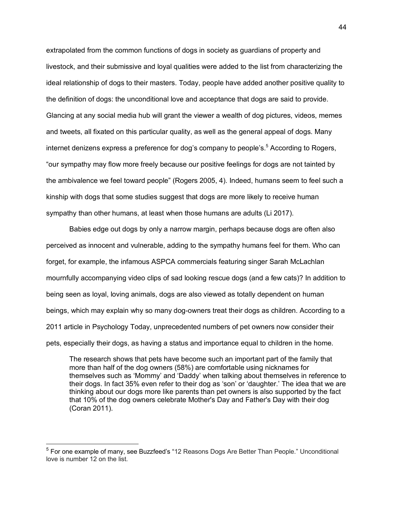extrapolated from the common functions of dogs in society as guardians of property and livestock, and their submissive and loyal qualities were added to the list from characterizing the ideal relationship of dogs to their masters. Today, people have added another positive quality to the definition of dogs: the unconditional love and acceptance that dogs are said to provide. Glancing at any social media hub will grant the viewer a wealth of dog pictures, videos, memes and tweets, all fixated on this particular quality, as well as the general appeal of dogs. Many internet denizens express a preference for dog's company to people's.<sup>5</sup> According to Rogers, "our sympathy may flow more freely because our positive feelings for dogs are not tainted by the ambivalence we feel toward people" (Rogers 2005, 4). Indeed, humans seem to feel such a kinship with dogs that some studies suggest that dogs are more likely to receive human sympathy than other humans, at least when those humans are adults (Li 2017).

Babies edge out dogs by only a narrow margin, perhaps because dogs are often also perceived as innocent and vulnerable, adding to the sympathy humans feel for them. Who can forget, for example, the infamous ASPCA commercials featuring singer Sarah McLachlan mournfully accompanying video clips of sad looking rescue dogs (and a few cats)? In addition to being seen as loyal, loving animals, dogs are also viewed as totally dependent on human beings, which may explain why so many dog-owners treat their dogs as children. According to a 2011 article in Psychology Today, unprecedented numbers of pet owners now consider their pets, especially their dogs, as having a status and importance equal to children in the home.

The research shows that pets have become such an important part of the family that more than half of the dog owners (58%) are comfortable using nicknames for themselves such as 'Mommy' and 'Daddy' when talking about themselves in reference to their dogs. In fact 35% even refer to their dog as 'son' or 'daughter.' The idea that we are thinking about our dogs more like parents than pet owners is also supported by the fact that 10% of the dog owners celebrate Mother's Day and Father's Day with their dog (Coran 2011).

 <sup>5</sup> For one example of many, see Buzzfeed's "12 Reasons Dogs Are Better Than People." Unconditional love is number 12 on the list.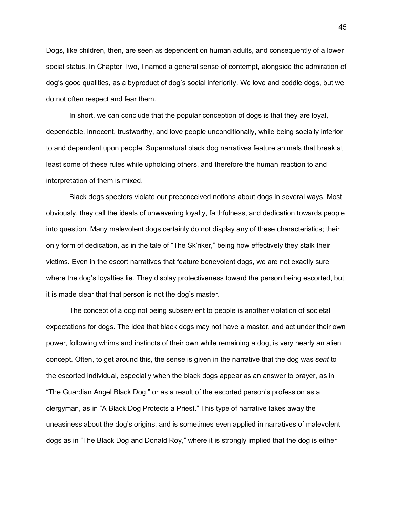Dogs, like children, then, are seen as dependent on human adults, and consequently of a lower social status. In Chapter Two, I named a general sense of contempt, alongside the admiration of dog's good qualities, as a byproduct of dog's social inferiority. We love and coddle dogs, but we do not often respect and fear them.

In short, we can conclude that the popular conception of dogs is that they are loyal, dependable, innocent, trustworthy, and love people unconditionally, while being socially inferior to and dependent upon people. Supernatural black dog narratives feature animals that break at least some of these rules while upholding others, and therefore the human reaction to and interpretation of them is mixed.

Black dogs specters violate our preconceived notions about dogs in several ways. Most obviously, they call the ideals of unwavering loyalty, faithfulness, and dedication towards people into question. Many malevolent dogs certainly do not display any of these characteristics; their only form of dedication, as in the tale of "The Sk'riker," being how effectively they stalk their victims. Even in the escort narratives that feature benevolent dogs, we are not exactly sure where the dog's loyalties lie. They display protectiveness toward the person being escorted, but it is made clear that that person is not the dog's master.

The concept of a dog not being subservient to people is another violation of societal expectations for dogs. The idea that black dogs may not have a master, and act under their own power, following whims and instincts of their own while remaining a dog, is very nearly an alien concept. Often, to get around this, the sense is given in the narrative that the dog was *sent* to the escorted individual, especially when the black dogs appear as an answer to prayer, as in "The Guardian Angel Black Dog," or as a result of the escorted person's profession as a clergyman, as in "A Black Dog Protects a Priest." This type of narrative takes away the uneasiness about the dog's origins, and is sometimes even applied in narratives of malevolent dogs as in "The Black Dog and Donald Roy," where it is strongly implied that the dog is either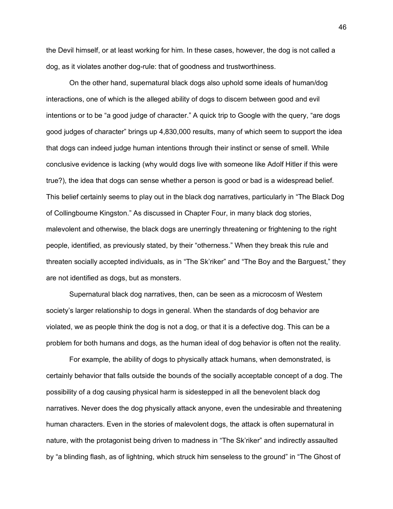the Devil himself, or at least working for him. In these cases, however, the dog is not called a dog, as it violates another dog-rule: that of goodness and trustworthiness.

On the other hand, supernatural black dogs also uphold some ideals of human/dog interactions, one of which is the alleged ability of dogs to discern between good and evil intentions or to be "a good judge of character." A quick trip to Google with the query, "are dogs good judges of character" brings up 4,830,000 results, many of which seem to support the idea that dogs can indeed judge human intentions through their instinct or sense of smell. While conclusive evidence is lacking (why would dogs live with someone like Adolf Hitler if this were true?), the idea that dogs can sense whether a person is good or bad is a widespread belief. This belief certainly seems to play out in the black dog narratives, particularly in "The Black Dog of Collingbourne Kingston." As discussed in Chapter Four, in many black dog stories, malevolent and otherwise, the black dogs are unerringly threatening or frightening to the right people, identified, as previously stated, by their "otherness." When they break this rule and threaten socially accepted individuals, as in "The Sk'riker" and "The Boy and the Barguest," they are not identified as dogs, but as monsters.

Supernatural black dog narratives, then, can be seen as a microcosm of Western society's larger relationship to dogs in general. When the standards of dog behavior are violated, we as people think the dog is not a dog, or that it is a defective dog. This can be a problem for both humans and dogs, as the human ideal of dog behavior is often not the reality.

For example, the ability of dogs to physically attack humans, when demonstrated, is certainly behavior that falls outside the bounds of the socially acceptable concept of a dog. The possibility of a dog causing physical harm is sidestepped in all the benevolent black dog narratives. Never does the dog physically attack anyone, even the undesirable and threatening human characters. Even in the stories of malevolent dogs, the attack is often supernatural in nature, with the protagonist being driven to madness in "The Sk'riker" and indirectly assaulted by "a blinding flash, as of lightning, which struck him senseless to the ground" in "The Ghost of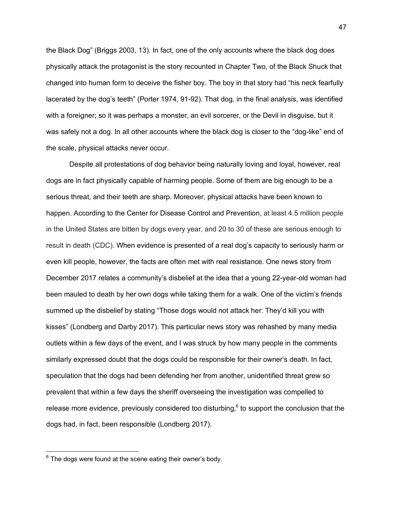the Black Dog" (Briggs 2003, 13). In fact, one of the only accounts where the black dog does physically attack the protagonist is the story recounted in Chapter Two, of the Black Shuck that changed into human form to deceive the fisher boy. The boy in that story had "his neck fearfully lacerated by the dog's teeth" (Porter 1974, 91-92). That dog, in the final analysis, was identified with a foreigner; so it was perhaps a monster, an evil sorcerer, or the Devil in disguise, but it was safely not a dog. In all other accounts where the black dog is closer to the "dog-like" end of the scale, physical attacks never occur.

Despite all protestations of dog behavior being naturally loving and loyal, however, real dogs are in fact physically capable of harming people. Some of them are big enough to be a serious threat, and their teeth are sharp. Moreover, physical attacks have been known to happen. According to the Center for Disease Control and Prevention, at least 4.5 million people in the United States are bitten by dogs every year, and 20 to 30 of these are serious enough to result in death (CDC). When evidence is presented of a real dog's capacity to seriously harm or even kill people, however, the facts are often met with real resistance. One news story from December 2017 relates a community's disbelief at the idea that a young 22-year-old woman had been mauled to death by her own dogs while taking them for a walk. One of the victim's friends summed up the disbelief by stating "Those dogs would not attack her. They'd kill you with kisses" (Londberg and Darby 2017). This particular news story was rehashed by many media outlets within a few days of the event, and I was struck by how many people in the comments similarly expressed doubt that the dogs could be responsible for their owner's death. In fact, speculation that the dogs had been defending her from another, unidentified threat grew so prevalent that within a few days the sheriff overseeing the investigation was compelled to release more evidence, previously considered too disturbing, $6$  to support the conclusion that the dogs had, in fact, been responsible (Londberg 2017).

 $6$  The dogs were found at the scene eating their owner's body.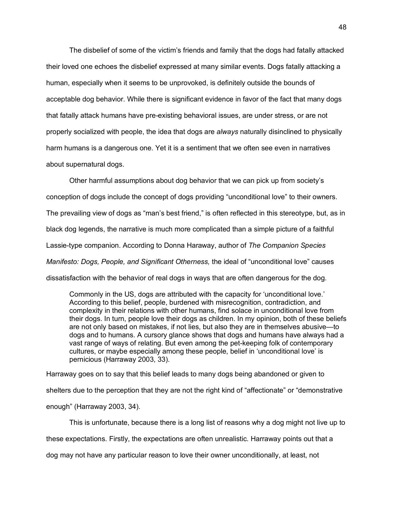The disbelief of some of the victim's friends and family that the dogs had fatally attacked their loved one echoes the disbelief expressed at many similar events. Dogs fatally attacking a human, especially when it seems to be unprovoked, is definitely outside the bounds of acceptable dog behavior. While there is significant evidence in favor of the fact that many dogs that fatally attack humans have pre-existing behavioral issues, are under stress, or are not properly socialized with people, the idea that dogs are *always* naturally disinclined to physically harm humans is a dangerous one. Yet it is a sentiment that we often see even in narratives about supernatural dogs.

Other harmful assumptions about dog behavior that we can pick up from society's conception of dogs include the concept of dogs providing "unconditional love" to their owners. The prevailing view of dogs as "man's best friend," is often reflected in this stereotype, but, as in black dog legends, the narrative is much more complicated than a simple picture of a faithful Lassie-type companion. According to Donna Haraway, author of *The Companion Species Manifesto: Dogs, People, and Significant Otherness,* the ideal of "unconditional love" causes dissatisfaction with the behavior of real dogs in ways that are often dangerous for the dog.

Commonly in the US, dogs are attributed with the capacity for 'unconditional love.' According to this belief, people, burdened with misrecognition, contradiction, and complexity in their relations with other humans, find solace in unconditional love from their dogs. In turn, people love their dogs as children. In my opinion, both of these beliefs are not only based on mistakes, if not lies, but also they are in themselves abusive—to dogs and to humans. A cursory glance shows that dogs and humans have always had a vast range of ways of relating. But even among the pet-keeping folk of contemporary cultures, or maybe especially among these people, belief in 'unconditional love' is pernicious (Harraway 2003, 33).

Harraway goes on to say that this belief leads to many dogs being abandoned or given to shelters due to the perception that they are not the right kind of "affectionate" or "demonstrative enough" (Harraway 2003, 34).

This is unfortunate, because there is a long list of reasons why a dog might not live up to these expectations. Firstly, the expectations are often unrealistic. Harraway points out that a dog may not have any particular reason to love their owner unconditionally, at least, not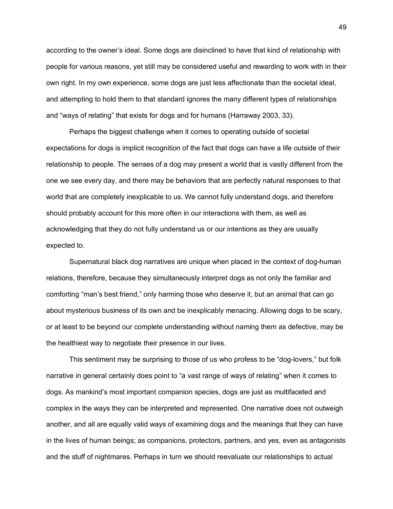according to the owner's ideal. Some dogs are disinclined to have that kind of relationship with people for various reasons, yet still may be considered useful and rewarding to work with in their own right. In my own experience, some dogs are just less affectionate than the societal ideal, and attempting to hold them to that standard ignores the many different types of relationships and "ways of relating" that exists for dogs and for humans (Harraway 2003, 33).

Perhaps the biggest challenge when it comes to operating outside of societal expectations for dogs is implicit recognition of the fact that dogs can have a life outside of their relationship to people. The senses of a dog may present a world that is vastly different from the one we see every day, and there may be behaviors that are perfectly natural responses to that world that are completely inexplicable to us. We cannot fully understand dogs, and therefore should probably account for this more often in our interactions with them, as well as acknowledging that they do not fully understand us or our intentions as they are usually expected to.

Supernatural black dog narratives are unique when placed in the context of dog-human relations, therefore, because they simultaneously interpret dogs as not only the familiar and comforting "man's best friend," only harming those who deserve it, but an animal that can go about mysterious business of its own and be inexplicably menacing. Allowing dogs to be scary, or at least to be beyond our complete understanding without naming them as defective, may be the healthiest way to negotiate their presence in our lives.

This sentiment may be surprising to those of us who profess to be "dog-lovers," but folk narrative in general certainly does point to "a vast range of ways of relating" when it comes to dogs. As mankind's most important companion species, dogs are just as multifaceted and complex in the ways they can be interpreted and represented. One narrative does not outweigh another, and all are equally valid ways of examining dogs and the meanings that they can have in the lives of human beings; as companions, protectors, partners, and yes, even as antagonists and the stuff of nightmares. Perhaps in turn we should reevaluate our relationships to actual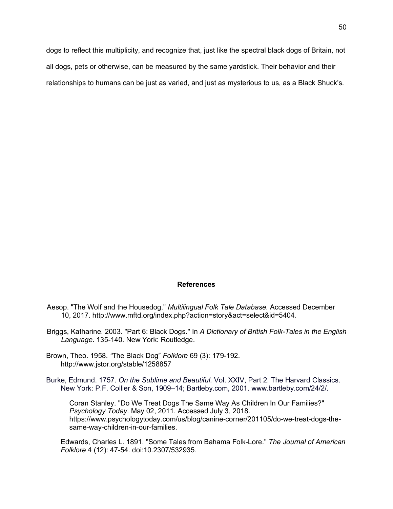dogs to reflect this multiplicity, and recognize that, just like the spectral black dogs of Britain, not all dogs, pets or otherwise, can be measured by the same yardstick. Their behavior and their relationships to humans can be just as varied, and just as mysterious to us, as a Black Shuck's.

### **References**

- Aesop. "The Wolf and the Housedog." *Multilingual Folk Tale Database.* Accessed December 10, 2017. http://www.mftd.org/index.php?action=story&act=select&id=5404.
- Briggs, Katharine. 2003. "Part 6: Black Dogs." In *A Dictionary of British Folk-Tales in the English Language*. 135-140. New York: Routledge.
- Brown, Theo. 1958. *"*The Black Dog" *Folklore* 69 (3): 179-192. http://www.jstor.org/stable/1258857
- Burke, Edmund. 1757. *On the Sublime and Beautiful.* Vol. XXIV, Part 2. The Harvard Classics. New York: P.F. Collier & Son, 1909–14; Bartleby.com, 2001. www.bartleby.com/24/2/.

Coran Stanley. "Do We Treat Dogs The Same Way As Children In Our Families?" *Psychology Today*. May 02, 2011. Accessed July 3, 2018. https://www.psychologytoday.com/us/blog/canine-corner/201105/do-we-treat-dogs-thesame-way-children-in-our-families.

Edwards, Charles L. 1891. "Some Tales from Bahama Folk-Lore." *The Journal of American Folklore* 4 (12): 47-54. doi:10.2307/532935.